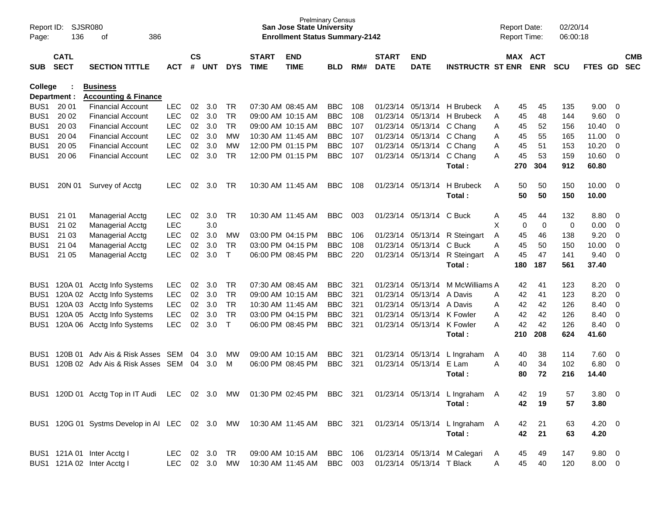| Report ID:<br>Page:                  | 136                        | SJSR080<br>386<br>οf                                                      |                          |                    |            |                 |                             | <b>San Jose State University</b><br><b>Enrollment Status Summary-2142</b> | <b>Prelminary Census</b> |            |                             |                            |                                |        | <b>Report Date:</b><br><b>Report Time:</b> |             | 02/20/14<br>06:00:18 |                |                                  |            |
|--------------------------------------|----------------------------|---------------------------------------------------------------------------|--------------------------|--------------------|------------|-----------------|-----------------------------|---------------------------------------------------------------------------|--------------------------|------------|-----------------------------|----------------------------|--------------------------------|--------|--------------------------------------------|-------------|----------------------|----------------|----------------------------------|------------|
| <b>SUB</b>                           | <b>CATL</b><br><b>SECT</b> | <b>SECTION TITTLE</b>                                                     | <b>ACT</b>               | $\mathsf{cs}$<br># | <b>UNT</b> | <b>DYS</b>      | <b>START</b><br><b>TIME</b> | <b>END</b><br><b>TIME</b>                                                 | <b>BLD</b>               | RM#        | <b>START</b><br><b>DATE</b> | <b>END</b><br><b>DATE</b>  | <b>INSTRUCTR ST ENR</b>        |        | MAX ACT                                    | <b>ENR</b>  | <b>SCU</b>           | FTES GD SEC    |                                  | <b>CMB</b> |
| College                              | Department :               | <b>Business</b><br><b>Accounting &amp; Finance</b>                        |                          |                    |            |                 |                             |                                                                           |                          |            |                             |                            |                                |        |                                            |             |                      |                |                                  |            |
| BUS <sub>1</sub>                     | 20 01                      | <b>Financial Account</b>                                                  | <b>LEC</b>               | 02                 | 3.0        | TR.             |                             | 07:30 AM 08:45 AM                                                         | <b>BBC</b>               | 108        |                             |                            | 01/23/14 05/13/14 H Brubeck    | A      | 45                                         | 45          | 135                  | 9.00           | - 0                              |            |
| BUS <sub>1</sub>                     | 20 02                      | <b>Financial Account</b>                                                  | <b>LEC</b>               | 02                 | 3.0        | <b>TR</b>       |                             | 09:00 AM 10:15 AM                                                         | <b>BBC</b>               | 108        | 01/23/14                    |                            | 05/13/14 H Brubeck             | Α      | 45                                         | 48          | 144                  | 9.60           | 0                                |            |
| BUS <sub>1</sub>                     | 20 03                      | <b>Financial Account</b>                                                  | <b>LEC</b>               | 02                 | 3.0        | <b>TR</b>       |                             | 09:00 AM 10:15 AM                                                         | <b>BBC</b>               | 107        |                             | 01/23/14 05/13/14 C Chang  |                                | Α      | 45                                         | 52          | 156                  | 10.40          | 0                                |            |
| BUS <sub>1</sub>                     | 20 04                      | <b>Financial Account</b>                                                  | <b>LEC</b>               | 02                 | 3.0        | <b>MW</b>       |                             | 10:30 AM 11:45 AM                                                         | <b>BBC</b>               | 107        |                             | 01/23/14 05/13/14 C Chang  |                                | A      | 45                                         | 55          | 165                  | 11.00          | $\overline{0}$                   |            |
| BUS <sub>1</sub>                     | 20 05                      | <b>Financial Account</b>                                                  | <b>LEC</b>               | 02                 | 3.0        | <b>MW</b>       |                             | 12:00 PM 01:15 PM                                                         | <b>BBC</b>               | 107        |                             | 01/23/14 05/13/14 C Chang  |                                | A      | 45                                         | 51          | 153                  | 10.20          | $\overline{0}$                   |            |
| BUS1                                 | 20 06                      | <b>Financial Account</b>                                                  | <b>LEC</b>               | 02                 | 3.0        | <b>TR</b>       |                             | 12:00 PM 01:15 PM                                                         | <b>BBC</b>               | 107        |                             | 01/23/14 05/13/14 C Chang  |                                | A      | 45                                         | 53          | 159                  | 10.60          | $\overline{0}$                   |            |
|                                      |                            |                                                                           |                          |                    |            |                 |                             |                                                                           |                          |            |                             |                            | Total:                         |        | 270                                        | 304         | 912                  | 60.80          |                                  |            |
| BUS1                                 | 20N 01                     | Survey of Acctg                                                           | <b>LEC</b>               | 02                 | 3.0        | TR.             |                             | 10:30 AM 11:45 AM                                                         | <b>BBC</b>               | 108        |                             | 01/23/14 05/13/14          | H Brubeck<br>Total:            | A      | 50<br>50                                   | 50<br>50    | 150<br>150           | 10.00<br>10.00 | $\overline{\mathbf{0}}$          |            |
| BUS <sub>1</sub>                     | 21 01                      | Managerial Acctg                                                          | <b>LEC</b>               | 02                 | 3.0        | TR.             |                             | 10:30 AM 11:45 AM                                                         | <b>BBC</b>               | 003        |                             | 01/23/14 05/13/14 C Buck   |                                | A      | 45                                         | 44          | 132                  | 8.80           | - 0                              |            |
| BUS <sub>1</sub>                     | 21 02                      | Managerial Acctg                                                          | <b>LEC</b>               |                    | 3.0        |                 |                             |                                                                           |                          |            |                             |                            |                                | X      | 0                                          | $\mathbf 0$ | 0                    | 0.00           | $\overline{0}$                   |            |
| BUS <sub>1</sub>                     | 21 03                      | Managerial Acctg                                                          | <b>LEC</b>               | 02                 | 3.0        | MW              |                             | 03:00 PM 04:15 PM                                                         | <b>BBC</b>               | 106        |                             |                            | 01/23/14 05/13/14 R Steingart  |        | 45                                         | 46          | 138                  | 9.20           | $\overline{0}$                   |            |
| BUS <sub>1</sub>                     | 21 04                      | <b>Managerial Acctg</b>                                                   | <b>LEC</b>               | 02                 | 3.0        | <b>TR</b>       |                             | 03:00 PM 04:15 PM                                                         | <b>BBC</b>               | 108        |                             | 01/23/14 05/13/14          | C Buck                         | A<br>A | 45                                         | 50          | 150                  | 10.00          | $\overline{0}$                   |            |
| BUS1                                 | 21 05                      | Managerial Acctg                                                          | <b>LEC</b>               | 02                 | 3.0        | $\mathsf{T}$    |                             | 06:00 PM 08:45 PM                                                         | <b>BBC</b>               | 220        |                             |                            | 01/23/14 05/13/14 R Steingart  | A      | 45                                         | 47          | 141                  | 9.40           | $\overline{0}$                   |            |
|                                      |                            |                                                                           |                          |                    |            |                 |                             |                                                                           |                          |            |                             |                            | Total:                         |        | 180                                        | 187         | 561                  | 37.40          |                                  |            |
|                                      |                            |                                                                           |                          |                    |            |                 |                             |                                                                           |                          |            |                             | 05/13/14                   |                                |        |                                            |             |                      |                |                                  |            |
| BUS <sub>1</sub><br>BUS <sub>1</sub> |                            | 120A 01 Acctg Info Systems                                                | <b>LEC</b><br><b>LEC</b> | 02<br>02           | 3.0<br>3.0 | TR<br><b>TR</b> |                             | 07:30 AM 08:45 AM<br>09:00 AM 10:15 AM                                    | <b>BBC</b><br><b>BBC</b> | 321<br>321 | 01/23/14                    | 01/23/14 05/13/14          | M McWilliams A<br>A Davis      |        | 42<br>42                                   | 41<br>41    | 123<br>123           | 8.20<br>8.20   | - 0                              |            |
| BUS <sub>1</sub>                     |                            | 120A 02 Acctg Info Systems                                                | <b>LEC</b>               | 02                 | 3.0        | <b>TR</b>       |                             | 10:30 AM 11:45 AM                                                         | <b>BBC</b>               | 321        |                             | 01/23/14 05/13/14 A Davis  |                                | A      | 42                                         | 42          | 126                  | 8.40           | $\overline{0}$<br>$\overline{0}$ |            |
| BUS <sub>1</sub>                     |                            | 120A 03 Acctg Info Systems<br>120A 05 Acctg Info Systems                  | <b>LEC</b>               | 02                 | 3.0        | <b>TR</b>       |                             | 03:00 PM 04:15 PM                                                         | <b>BBC</b>               | 321        | 01/23/14                    | 05/13/14 K Fowler          |                                | A<br>A | 42                                         | 42          | 126                  | 8.40           | $\overline{0}$                   |            |
| BUS1                                 |                            | 120A 06 Acctg Info Systems                                                | <b>LEC</b>               | 02                 | 3.0        | $\top$          |                             | 06:00 PM 08:45 PM                                                         | <b>BBC</b>               | 321        |                             | 01/23/14 05/13/14 K Fowler |                                | A      | 42                                         | 42          | 126                  | 8.40           | - 0                              |            |
|                                      |                            |                                                                           |                          |                    |            |                 |                             |                                                                           |                          |            |                             |                            | Total:                         |        | 210                                        | 208         | 624                  | 41.60          |                                  |            |
| BUS1                                 |                            | 120B 01 Adv Ais & Risk Asses SEM                                          |                          | 04                 | 3.0        | MW              |                             | 09:00 AM 10:15 AM                                                         | <b>BBC</b>               | 321        |                             |                            | 01/23/14 05/13/14 L Ingraham   | A      | 40                                         | 38          | 114                  | 7.60           | $\overline{0}$                   |            |
| BUS1                                 |                            | 120B 02 Adv Ais & Risk Asses SEM                                          |                          | 04                 | 3.0        | M               |                             | 06:00 PM 08:45 PM                                                         | <b>BBC</b>               | 321        |                             | 01/23/14 05/13/14          | E Lam                          | A      | 40                                         | 34          | 102                  | 6.80           | $\overline{\mathbf{0}}$          |            |
|                                      |                            |                                                                           |                          |                    |            |                 |                             |                                                                           |                          |            |                             |                            | Total:                         |        | 80                                         | 72          | 216                  | 14.40          |                                  |            |
|                                      |                            | BUS1 120D 01 Acctg Top in IT Audi LEC 02 3.0 MW 01:30 PM 02:45 PM BBC 321 |                          |                    |            |                 |                             |                                                                           |                          |            |                             |                            | 01/23/14 05/13/14 L Ingraham A |        | 42                                         | 19          | 57                   | 3.80 0         |                                  |            |
|                                      |                            |                                                                           |                          |                    |            |                 |                             |                                                                           |                          |            |                             |                            | Total:                         |        | 42                                         | 19          | 57                   | 3.80           |                                  |            |
|                                      |                            | BUS1 120G 01 Systms Develop in AI LEC 02 3.0 MW 10:30 AM 11:45 AM BBC 321 |                          |                    |            |                 |                             |                                                                           |                          |            |                             |                            | 01/23/14 05/13/14 L Ingraham A |        | 42                                         | 21          | 63                   | $4.20 \ 0$     |                                  |            |
|                                      |                            |                                                                           |                          |                    |            |                 |                             |                                                                           |                          |            |                             |                            | Total:                         |        | 42                                         | 21          | 63                   | 4.20           |                                  |            |
|                                      |                            | BUS1 121A 01 Inter Acctg I                                                | LEC 02 3.0               |                    |            | TR              |                             | 09:00 AM 10:15 AM                                                         | BBC 106                  |            |                             |                            | 01/23/14 05/13/14 M Calegari   | A      | 45                                         | 49          | 147                  | 9.80 0         |                                  |            |
|                                      |                            | BUS1 121A 02 Inter Acctg I                                                | LEC 02 3.0               |                    |            | MW              |                             | 10:30 AM 11:45 AM                                                         | BBC 003                  |            |                             | 01/23/14 05/13/14 T Black  |                                | A      | 45                                         | 40          | 120                  | 8.00 0         |                                  |            |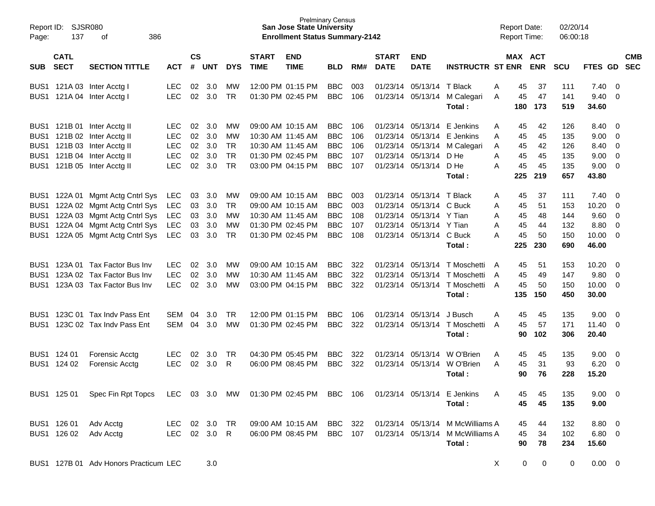| Report ID:<br>Page:                                          | 137                        | <b>SJSR080</b><br>386<br>οf                                                                                                                             |                                                       |                            |                                 |                                                 |                             | <b>San Jose State University</b><br><b>Enrollment Status Summary-2142</b>                             | <b>Prelminary Census</b>                                    |                                 |                             |                                                                                                                                           |                                                                                                              | <b>Report Date:</b>          | <b>Report Time:</b>                                             | 02/20/14<br>06:00:18                   |                                                 |                                                  |                          |
|--------------------------------------------------------------|----------------------------|---------------------------------------------------------------------------------------------------------------------------------------------------------|-------------------------------------------------------|----------------------------|---------------------------------|-------------------------------------------------|-----------------------------|-------------------------------------------------------------------------------------------------------|-------------------------------------------------------------|---------------------------------|-----------------------------|-------------------------------------------------------------------------------------------------------------------------------------------|--------------------------------------------------------------------------------------------------------------|------------------------------|-----------------------------------------------------------------|----------------------------------------|-------------------------------------------------|--------------------------------------------------|--------------------------|
| <b>SUB</b>                                                   | <b>CATL</b><br><b>SECT</b> | <b>SECTION TITTLE</b>                                                                                                                                   | <b>ACT</b>                                            | <b>CS</b><br>#             | <b>UNT</b>                      | <b>DYS</b>                                      | <b>START</b><br><b>TIME</b> | <b>END</b><br><b>TIME</b>                                                                             | <b>BLD</b>                                                  | RM#                             | <b>START</b><br><b>DATE</b> | <b>END</b><br><b>DATE</b>                                                                                                                 | <b>INSTRUCTR ST ENR ENR</b>                                                                                  |                              | MAX ACT                                                         | <b>SCU</b>                             | FTES GD                                         |                                                  | <b>CMB</b><br><b>SEC</b> |
|                                                              |                            | BUS1 121A 03 Inter Acctg I<br>BUS1 121A 04 Inter Acctg I                                                                                                | <b>LEC</b><br><b>LEC</b>                              | 02<br>02                   | 3.0<br>3.0                      | МW<br><b>TR</b>                                 |                             | 12:00 PM 01:15 PM<br>01:30 PM 02:45 PM                                                                | <b>BBC</b><br><b>BBC</b>                                    | 003<br>106                      |                             | 01/23/14 05/13/14 T Black                                                                                                                 | 01/23/14 05/13/14 M Calegari<br>Total:                                                                       | A<br>A                       | 45<br>37<br>45<br>47<br>173<br>180                              | 111<br>141<br>519                      | 7.40<br>9.40<br>34.60                           | - 0<br>0                                         |                          |
|                                                              |                            | BUS1 121B 01 Inter Acctg II<br>BUS1 121B 02 Inter Acctg II<br>BUS1 121B 03 Inter Acctg II<br>BUS1 121B 04 Inter Acctg II<br>BUS1 121B 05 Inter Acctg II | LEC.<br><b>LEC</b><br>LEC<br><b>LEC</b><br><b>LEC</b> | 02<br>02<br>02<br>02<br>02 | 3.0<br>3.0<br>3.0<br>3.0<br>3.0 | МW<br>МW<br><b>TR</b><br><b>TR</b><br><b>TR</b> |                             | 09:00 AM 10:15 AM<br>10:30 AM 11:45 AM<br>10:30 AM 11:45 AM<br>01:30 PM 02:45 PM<br>03:00 PM 04:15 PM | BBC<br><b>BBC</b><br><b>BBC</b><br><b>BBC</b><br><b>BBC</b> | 106<br>106<br>106<br>107<br>107 |                             | 01/23/14 05/13/14 D He<br>01/23/14 05/13/14                                                                                               | 01/23/14 05/13/14 E Jenkins<br>01/23/14 05/13/14 E Jenkins<br>01/23/14 05/13/14 M Calegari<br>D He<br>Total: | A<br>A<br>A<br>Α<br>Α<br>225 | 42<br>45<br>45<br>45<br>45<br>42<br>45<br>45<br>45<br>45<br>219 | 126<br>135<br>126<br>135<br>135<br>657 | 8.40<br>9.00<br>8.40<br>9.00<br>9.00<br>43.80   | - 0<br>0<br>0<br>0<br>0                          |                          |
| BUS1<br>BUS1<br>BUS <sub>1</sub><br>BUS <sub>1</sub><br>BUS1 |                            | 122A 01 Mgmt Actg Cntrl Sys<br>122A 02 Mgmt Actg Cntrl Sys<br>122A 03 Mgmt Actg Cntrl Sys<br>122A 04 Mgmt Actg Cntrl Sys<br>122A 05 Mgmt Actg Cntrl Sys | <b>LEC</b><br><b>LEC</b><br><b>LEC</b><br>LEC<br>LEC  | 03<br>03<br>03<br>03<br>03 | 3.0<br>3.0<br>3.0<br>3.0<br>3.0 | <b>MW</b><br>TR.<br>МW<br>МW<br><b>TR</b>       |                             | 09:00 AM 10:15 AM<br>09:00 AM 10:15 AM<br>10:30 AM 11:45 AM<br>01:30 PM 02:45 PM<br>01:30 PM 02:45 PM | BBC<br><b>BBC</b><br><b>BBC</b><br><b>BBC</b><br><b>BBC</b> | 003<br>003<br>108<br>107<br>108 |                             | 01/23/14 05/13/14 T Black<br>01/23/14 05/13/14 C Buck<br>01/23/14 05/13/14 Y Tian<br>01/23/14 05/13/14 Y Tian<br>01/23/14 05/13/14 C Buck | Total:                                                                                                       | A<br>Α<br>Α<br>Α<br>A<br>225 | 45<br>37<br>45<br>51<br>45<br>48<br>45<br>44<br>45<br>50<br>230 | 111<br>153<br>144<br>132<br>150<br>690 | 7.40<br>10.20<br>9.60<br>8.80<br>10.00<br>46.00 | $\overline{0}$<br>0<br>0<br>0<br>0               |                          |
| BUS1<br>BUS <sub>1</sub>                                     |                            | BUS1 123A 01 Tax Factor Bus Inv<br>123A 02 Tax Factor Bus Inv<br>123A 03 Tax Factor Bus Inv                                                             | LEC.<br><b>LEC</b><br><b>LEC</b>                      | 02<br>02<br>02             | 3.0<br>3.0<br>3.0               | МW<br>МW<br>МW                                  |                             | 09:00 AM 10:15 AM<br>10:30 AM 11:45 AM<br>03:00 PM 04:15 PM                                           | <b>BBC</b><br><b>BBC</b><br><b>BBC</b>                      | 322<br>322<br>322               |                             |                                                                                                                                           | 01/23/14 05/13/14 T Moschetti<br>01/23/14 05/13/14 T Moschetti<br>01/23/14 05/13/14 T Moschetti<br>Total:    | A<br>A<br>A<br>135           | 51<br>45<br>45<br>49<br>45<br>50<br>150                         | 153<br>147<br>150<br>450               | 10.20<br>9.80<br>10.00<br>30.00                 | $\overline{0}$<br>$\mathbf{0}$<br>$\overline{0}$ |                          |
| BUS <sub>1</sub><br>BUS <sub>1</sub>                         |                            | 123C 01 Tax Indv Pass Ent<br>123C 02 Tax Indy Pass Ent                                                                                                  | SEM<br><b>SEM</b>                                     | 04<br>04                   | 3.0<br>3.0                      | TR<br>МW                                        |                             | 12:00 PM 01:15 PM<br>01:30 PM 02:45 PM                                                                | BBC<br><b>BBC</b>                                           | 106<br>322                      |                             | 01/23/14 05/13/14                                                                                                                         | J Busch<br>01/23/14 05/13/14 T Moschetti<br>Total:                                                           | A<br>A                       | 45<br>45<br>45<br>57<br>102<br>90                               | 135<br>171<br>306                      | 9.00<br>11.40<br>20.40                          | - 0<br>- 0                                       |                          |
|                                                              | BUS1 124 01<br>BUS1 124 02 | <b>Forensic Acctg</b><br><b>Forensic Acctg</b>                                                                                                          | <b>LEC</b><br><b>LEC</b>                              | 02<br>02                   | 3.0<br>3.0                      | TR<br>R                                         |                             | 04:30 PM 05:45 PM<br>06:00 PM 08:45 PM                                                                | BBC<br><b>BBC</b>                                           | 322<br>322                      |                             |                                                                                                                                           | 01/23/14 05/13/14 W O'Brien<br>01/23/14 05/13/14 W O'Brien<br>Total:                                         | Α<br>A                       | 45<br>45<br>45<br>31<br>76<br>90                                | 135<br>93<br>228                       | 9.00<br>6.20<br>15.20                           | $\overline{\mathbf{0}}$<br>- 0                   |                          |
|                                                              |                            | BUS1 125 01 Spec Fin Rpt Topcs LEC 03 3.0 MW 01:30 PM 02:45 PM BBC 106                                                                                  |                                                       |                            |                                 |                                                 |                             |                                                                                                       |                                                             |                                 |                             |                                                                                                                                           | 01/23/14 05/13/14 E Jenkins<br>Total:                                                                        | A                            | 45<br>45<br>45<br>45                                            | 135<br>135                             | $9.00 \t 0$<br>9.00                             |                                                  |                          |
|                                                              | BUS1 126 01<br>BUS1 126 02 | Adv Acctg<br>Adv Acctg                                                                                                                                  | LEC 02 3.0 TR<br>LEC 02 3.0 R                         |                            |                                 |                                                 |                             | 09:00 AM 10:15 AM BBC 322<br>06:00 PM 08:45 PM BBC 107                                                |                                                             |                                 |                             |                                                                                                                                           | 01/23/14 05/13/14 M McWilliams A<br>01/23/14 05/13/14 M McWilliams A<br>Total:                               |                              | 45<br>44<br>45<br>34<br>90<br>78                                | 132<br>102<br>234                      | 8.80 0<br>$6.80\ 0$<br>15.60                    |                                                  |                          |
|                                                              |                            | BUS1 127B 01 Adv Honors Practicum LEC                                                                                                                   |                                                       |                            | 3.0                             |                                                 |                             |                                                                                                       |                                                             |                                 |                             |                                                                                                                                           |                                                                                                              | X                            | $\mathbf 0$                                                     | $\mathbf 0$<br>0                       | $0.00 \t 0$                                     |                                                  |                          |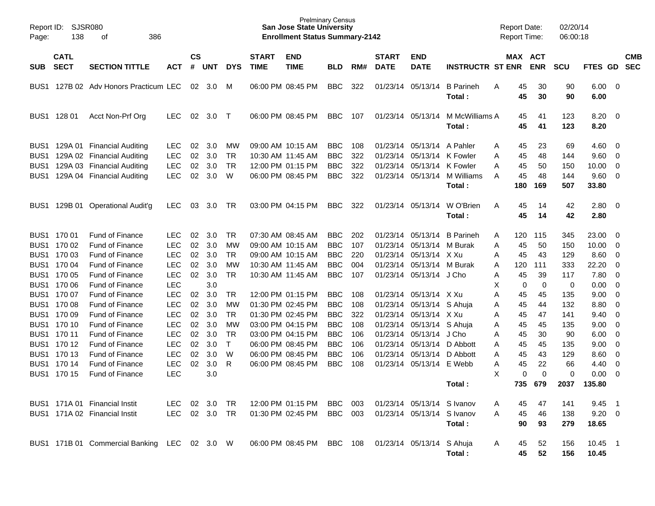| Report ID:<br>Page:                  | <b>SJSR080</b><br>138      | 386<br>οf                                                |                          |                    |            |                        |                             | <b>Prelminary Census</b><br><b>San Jose State University</b><br><b>Enrollment Status Summary-2142</b> |                          |            |                             |                                        |                                  | <b>Report Date:</b><br><b>Report Time:</b> |                 | 02/20/14<br>06:00:18 |                        |                         |                          |
|--------------------------------------|----------------------------|----------------------------------------------------------|--------------------------|--------------------|------------|------------------------|-----------------------------|-------------------------------------------------------------------------------------------------------|--------------------------|------------|-----------------------------|----------------------------------------|----------------------------------|--------------------------------------------|-----------------|----------------------|------------------------|-------------------------|--------------------------|
| <b>SUB</b>                           | <b>CATL</b><br><b>SECT</b> | <b>SECTION TITTLE</b>                                    | <b>ACT</b>               | $\mathsf{cs}$<br># | <b>UNT</b> | <b>DYS</b>             | <b>START</b><br><b>TIME</b> | <b>END</b><br><b>TIME</b>                                                                             | <b>BLD</b>               | RM#        | <b>START</b><br><b>DATE</b> | <b>END</b><br><b>DATE</b>              | <b>INSTRUCTR ST ENR</b>          | <b>MAX ACT</b>                             | <b>ENR</b>      | <b>SCU</b>           | FTES GD                |                         | <b>CMB</b><br><b>SEC</b> |
| BUS1                                 |                            | 127B 02 Adv Honors Practicum LEC                         |                          | 02                 | 3.0        | M                      |                             | 06:00 PM 08:45 PM                                                                                     | <b>BBC</b>               | 322        | 01/23/14 05/13/14           |                                        | <b>B</b> Parineh<br>Total :      | 45<br>Α<br>45                              | 30<br>30        | 90<br>90             | $6.00 \quad 0$<br>6.00 |                         |                          |
| BUS <sub>1</sub>                     | 128 01                     | Acct Non-Prf Org                                         | <b>LEC</b>               | 02                 | 3.0        | $\top$                 |                             | 06:00 PM 08:45 PM                                                                                     | <b>BBC</b>               | 107        | 01/23/14 05/13/14           |                                        | M McWilliams A<br>Total :        | 45<br>45                                   | 41<br>41        | 123<br>123           | 8.20<br>8.20           | $\overline{\mathbf{0}}$ |                          |
| BUS <sub>1</sub>                     |                            | 129A 01 Financial Auditing                               | <b>LEC</b>               | 02                 | 3.0        | MW                     |                             | 09:00 AM 10:15 AM                                                                                     | <b>BBC</b>               | 108        |                             | 01/23/14 05/13/14                      | A Pahler                         | 45<br>Α                                    | 23              | 69                   | 4.60                   | - 0                     |                          |
| BUS1<br>BUS <sub>1</sub>             |                            | 129A 02 Financial Auditing                               | <b>LEC</b>               | 02                 | 3.0<br>3.0 | <b>TR</b><br><b>TR</b> |                             | 10:30 AM 11:45 AM<br>12:00 PM 01:15 PM                                                                | <b>BBC</b><br><b>BBC</b> | 322        |                             | 01/23/14 05/13/14<br>01/23/14 05/13/14 | K Fowler                         | 45<br>Α                                    | 48              | 144                  | 9.60                   | $\overline{\mathbf{0}}$ |                          |
| BUS <sub>1</sub>                     |                            | 129A 03 Financial Auditing<br>129A 04 Financial Auditing | <b>LEC</b><br><b>LEC</b> | 02<br>02           | 3.0        | W                      |                             | 06:00 PM 08:45 PM                                                                                     | <b>BBC</b>               | 322<br>322 |                             | 01/23/14 05/13/14                      | K Fowler<br>M Williams<br>Total: | 45<br>Α<br>45<br>A<br>180                  | 50<br>48<br>169 | 150<br>144<br>507    | 10.00<br>9.60<br>33.80 | 0<br>- 0                |                          |
| BUS <sub>1</sub>                     | 129B 01                    | <b>Operational Audit'g</b>                               | <b>LEC</b>               | 03                 | 3.0        | TR                     |                             | 03:00 PM 04:15 PM                                                                                     | <b>BBC</b>               | 322        | 01/23/14 05/13/14           |                                        | W O'Brien<br>Total :             | A<br>45<br>45                              | 14<br>14        | 42<br>42             | 2.80<br>2.80           | $\overline{\mathbf{0}}$ |                          |
| BUS <sub>1</sub>                     | 170 01                     | <b>Fund of Finance</b>                                   | <b>LEC</b>               | 02                 | 3.0        | <b>TR</b>              |                             | 07:30 AM 08:45 AM                                                                                     | <b>BBC</b>               | 202        |                             | 01/23/14 05/13/14                      | <b>B</b> Parineh                 | 120<br>A                                   | 115             | 345                  | 23.00                  | - 0                     |                          |
| BUS <sub>1</sub>                     | 170 02                     | <b>Fund of Finance</b>                                   | <b>LEC</b>               | 02                 | 3.0        | <b>MW</b>              |                             | 09:00 AM 10:15 AM                                                                                     | <b>BBC</b>               | 107        |                             | 01/23/14 05/13/14                      | M Burak                          | 45<br>Α                                    | 50              | 150                  | 10.00                  | 0                       |                          |
| BUS <sub>1</sub>                     | 170 03                     | <b>Fund of Finance</b>                                   | <b>LEC</b>               | 02                 | 3.0        | <b>TR</b>              |                             | 09:00 AM 10:15 AM                                                                                     | <b>BBC</b>               | 220        |                             | 01/23/14 05/13/14                      | X Xu                             | 45<br>Α                                    | 43              | 129                  | 8.60                   | - 0                     |                          |
| BUS <sub>1</sub>                     | 170 04                     | <b>Fund of Finance</b>                                   | <b>LEC</b>               | 02                 | 3.0        | <b>MW</b>              |                             | 10:30 AM 11:45 AM                                                                                     | <b>BBC</b>               | 004        | 01/23/14                    | 05/13/14                               | M Burak                          | 120<br>Α                                   | 111             | 333                  | 22.20                  | - 0                     |                          |
| BUS <sub>1</sub>                     | 170 05                     | <b>Fund of Finance</b>                                   | <b>LEC</b>               | 02                 | 3.0        | <b>TR</b>              |                             | 10:30 AM 11:45 AM                                                                                     | <b>BBC</b>               | 107        |                             | 01/23/14 05/13/14                      | J Cho                            | 45<br>Α                                    | 39              | 117                  | 7.80                   | - 0                     |                          |
| BUS <sub>1</sub><br>BUS <sub>1</sub> | 170 06<br>170 07           | <b>Fund of Finance</b>                                   | <b>LEC</b>               |                    | 3.0<br>3.0 | <b>TR</b>              |                             |                                                                                                       |                          |            |                             |                                        | X Xu                             | Χ<br>0                                     | 0               | 0                    | 0.00                   | - 0                     |                          |
| BUS <sub>1</sub>                     | 170 08                     | <b>Fund of Finance</b><br><b>Fund of Finance</b>         | <b>LEC</b><br><b>LEC</b> | 02<br>02           | 3.0        | <b>MW</b>              |                             | 12:00 PM 01:15 PM<br>01:30 PM 02:45 PM                                                                | <b>BBC</b><br><b>BBC</b> | 108<br>108 |                             | 01/23/14 05/13/14<br>01/23/14 05/13/14 | S Ahuja                          | 45<br>Α<br>45<br>Α                         | 45<br>44        | 135<br>132           | 9.00<br>8.80           | - 0<br>- 0              |                          |
| BUS <sub>1</sub>                     | 170 09                     | <b>Fund of Finance</b>                                   | <b>LEC</b>               | 02                 | 3.0        | <b>TR</b>              |                             | 01:30 PM 02:45 PM                                                                                     | <b>BBC</b>               | 322        |                             | 01/23/14 05/13/14                      | X Xu                             | 45<br>Α                                    | 47              | 141                  | 9.40                   | 0                       |                          |
| BUS <sub>1</sub>                     | 170 10                     | <b>Fund of Finance</b>                                   | <b>LEC</b>               | 02                 | 3.0        | <b>MW</b>              |                             | 03:00 PM 04:15 PM                                                                                     | <b>BBC</b>               | 108        |                             | 01/23/14 05/13/14                      | S Ahuja                          | 45<br>Α                                    | 45              | 135                  | 9.00                   | 0                       |                          |
| BUS <sub>1</sub>                     | 170 11                     | <b>Fund of Finance</b>                                   | <b>LEC</b>               | 02                 | 3.0        | <b>TR</b>              |                             | 03:00 PM 04:15 PM                                                                                     | <b>BBC</b>               | 106        | 01/23/14                    | 05/13/14                               | J Cho                            | 45<br>Α                                    | 30              | 90                   | 6.00                   | 0                       |                          |
| BUS <sub>1</sub>                     | 170 12                     | <b>Fund of Finance</b>                                   | <b>LEC</b>               | 02                 | 3.0        | $\top$                 |                             | 06:00 PM 08:45 PM                                                                                     | <b>BBC</b>               | 106        |                             | 01/23/14 05/13/14                      | D Abbott                         | 45<br>Α                                    | 45              | 135                  | 9.00                   | 0                       |                          |
| BUS <sub>1</sub>                     | 170 13                     | <b>Fund of Finance</b>                                   | <b>LEC</b>               | 02                 | 3.0        | W                      |                             | 06:00 PM 08:45 PM                                                                                     | <b>BBC</b>               | 106        | 01/23/14                    | 05/13/14                               | D Abbott                         | 45<br>Α                                    | 43              | 129                  | 8.60                   | 0                       |                          |
| BUS <sub>1</sub>                     | 170 14                     | <b>Fund of Finance</b>                                   | <b>LEC</b>               | 02                 | 3.0        | R                      |                             | 06:00 PM 08:45 PM                                                                                     | <b>BBC</b>               | 108        |                             | 01/23/14 05/13/14                      | E Webb                           | 45<br>Α                                    | 22              | 66                   | 4.40                   | 0                       |                          |
|                                      | BUS1 170 15                | <b>Fund of Finance</b>                                   | <b>LEC</b>               |                    | 3.0        |                        |                             |                                                                                                       |                          |            |                             |                                        |                                  | X<br>0                                     | $\Omega$        | 0                    | 0.00                   | -0                      |                          |
|                                      |                            |                                                          |                          |                    |            |                        |                             |                                                                                                       |                          |            |                             |                                        | Total:                           |                                            | 735 679         | 2037                 | 135.80                 |                         |                          |
|                                      |                            | BUS1 171A 01 Financial Instit                            | LEC.                     |                    | 02 3.0 TR  |                        |                             | 12:00 PM_01:15 PM                                                                                     | BBC 003                  |            |                             | 01/23/14 05/13/14 S Ivanov             |                                  | 45<br>A                                    | 47              | 141                  | $9.45$ 1               |                         |                          |
|                                      |                            | BUS1 171A 02 Financial Instit                            | LEC                      |                    | 02 3.0 TR  |                        |                             | 01:30 PM 02:45 PM                                                                                     | BBC 003                  |            |                             | 01/23/14 05/13/14 S Ivanov             |                                  | 45<br>A                                    | 46              | 138                  | $9.20 \ 0$             |                         |                          |
|                                      |                            |                                                          |                          |                    |            |                        |                             |                                                                                                       |                          |            |                             |                                        | Total:                           | 90                                         | 93              | 279                  | 18.65                  |                         |                          |
|                                      |                            | BUS1 171B 01 Commercial Banking LEC 02 3.0 W             |                          |                    |            |                        |                             | 06:00 PM 08:45 PM BBC 108                                                                             |                          |            |                             | 01/23/14 05/13/14 S Ahuja              | Total:                           | A<br>45<br>45                              | 52<br>52        | 156<br>156           | 10.45 1<br>10.45       |                         |                          |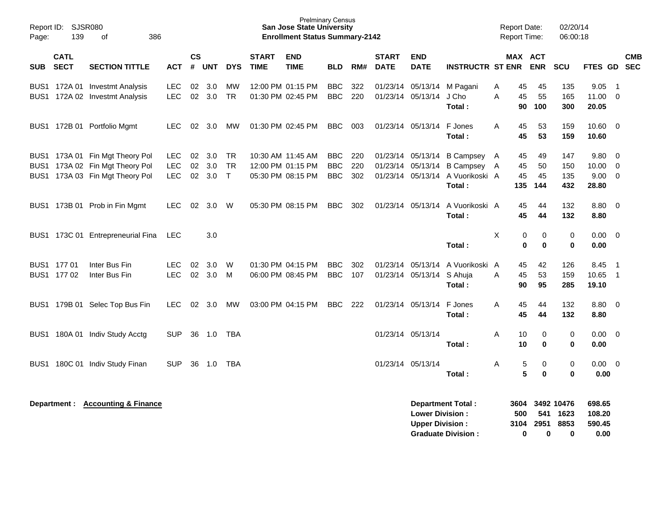| Page:      | Report ID: SJSR080<br>139  | 386<br>of                                                                                             |                                  |                       |                      |                           |                             | <b>Prelminary Census</b><br>San Jose State University<br><b>Enrollment Status Summary-2142</b> |                                  |                   |                             |                                                  |                                                                                                 |        | <b>Report Date:</b><br><b>Report Time:</b> |                       | 02/20/14<br>06:00:18       |                                       |                                                        |  |
|------------|----------------------------|-------------------------------------------------------------------------------------------------------|----------------------------------|-----------------------|----------------------|---------------------------|-----------------------------|------------------------------------------------------------------------------------------------|----------------------------------|-------------------|-----------------------------|--------------------------------------------------|-------------------------------------------------------------------------------------------------|--------|--------------------------------------------|-----------------------|----------------------------|---------------------------------------|--------------------------------------------------------|--|
| <b>SUB</b> | <b>CATL</b><br><b>SECT</b> | <b>SECTION TITTLE</b>                                                                                 | <b>ACT</b>                       | $\mathsf{cs}$<br>$\#$ | <b>UNT</b>           | <b>DYS</b>                | <b>START</b><br><b>TIME</b> | <b>END</b><br><b>TIME</b>                                                                      | <b>BLD</b>                       | RM#               | <b>START</b><br><b>DATE</b> | <b>END</b><br><b>DATE</b>                        | <b>INSTRUCTR ST ENR</b>                                                                         |        | MAX ACT                                    | <b>ENR</b>            | SCU                        | FTES GD SEC                           | <b>CMB</b>                                             |  |
|            |                            | BUS1 172A 01 Investmt Analysis<br>BUS1 172A 02 Investmt Analysis                                      | <b>LEC</b><br><b>LEC</b>         | 02                    | 3.0<br>02 3.0        | MW<br><b>TR</b>           |                             | 12:00 PM 01:15 PM<br>01:30 PM 02:45 PM                                                         | <b>BBC</b><br><b>BBC</b>         | 322<br>220        |                             | 01/23/14 05/13/14                                | 01/23/14 05/13/14 M Pagani<br>J Cho<br>Total:                                                   | A<br>A | 45<br>45<br>90                             | 45<br>55<br>100       | 135<br>165<br>300          | 9.05<br>11.00<br>20.05                | $\overline{1}$<br>$\overline{0}$                       |  |
|            |                            | BUS1 172B 01 Portfolio Mgmt                                                                           | LEC.                             |                       | 02 3.0               | MW                        |                             | 01:30 PM 02:45 PM                                                                              | BBC                              | 003               |                             | 01/23/14 05/13/14 F Jones                        | Total:                                                                                          | A      | 45<br>45                                   | 53<br>53              | 159<br>159                 | $10.60 \quad 0$<br>10.60              |                                                        |  |
|            |                            | BUS1 173A 01 Fin Mgt Theory Pol<br>BUS1 173A 02 Fin Mgt Theory Pol<br>BUS1 173A 03 Fin Mgt Theory Pol | LEC.<br><b>LEC</b><br><b>LEC</b> | 02<br>02              | 3.0<br>3.0<br>02 3.0 | TR<br><b>TR</b><br>$\top$ |                             | 10:30 AM 11:45 AM<br>12:00 PM 01:15 PM<br>05:30 PM 08:15 PM                                    | BBC.<br><b>BBC</b><br><b>BBC</b> | 220<br>220<br>302 |                             | 01/23/14 05/13/14                                | 01/23/14 05/13/14 B Campsey A<br><b>B Campsey</b><br>01/23/14 05/13/14 A Vuorikoski A<br>Total: | A      | 45<br>45<br>45<br>135                      | 49<br>50<br>45<br>144 | 147<br>150<br>135<br>432   | 9.80<br>10.00<br>$9.00 \t 0$<br>28.80 | - 0<br>- 0                                             |  |
|            |                            | BUS1 173B 01 Prob in Fin Mgmt                                                                         | <b>LEC</b>                       | 02                    | 3.0                  | W                         |                             | 05:30 PM 08:15 PM                                                                              | <b>BBC</b>                       | 302               |                             | 01/23/14 05/13/14                                | A Vuorikoski A<br>Total:                                                                        |        | 45<br>45                                   | 44<br>44              | 132<br>132                 | $8.80\quad 0$<br>8.80                 |                                                        |  |
|            |                            | BUS1 173C 01 Entrepreneurial Fina                                                                     | <b>LEC</b>                       |                       | 3.0                  |                           |                             |                                                                                                |                                  |                   |                             |                                                  | Total:                                                                                          | X      | $\pmb{0}$<br>$\mathbf 0$                   | 0<br>$\mathbf 0$      | $\pmb{0}$<br>$\mathbf 0$   | $0.00 \quad 0$<br>0.00                |                                                        |  |
|            | BUS1 177 01<br>BUS1 177 02 | Inter Bus Fin<br>Inter Bus Fin                                                                        | LEC.<br><b>LEC</b>               | 02<br>02              | 3.0<br>3.0           | W<br>M                    |                             | 01:30 PM 04:15 PM<br>06:00 PM 08:45 PM                                                         | <b>BBC</b><br><b>BBC</b>         | 302<br>107        |                             | 01/23/14 05/13/14<br>01/23/14 05/13/14 S Ahuja   | A Vuorikoski A<br>Total:                                                                        | A      | 45<br>45<br>90                             | 42<br>53<br>95        | 126<br>159<br>285          | 8.45<br>10.65<br>19.10                | $\overline{\phantom{1}}$<br>$\overline{\phantom{0}}$ 1 |  |
|            |                            | BUS1 179B 01 Selec Top Bus Fin                                                                        | <b>LEC</b>                       | 02                    | 3.0                  | MW                        |                             | 03:00 PM 04:15 PM                                                                              | <b>BBC</b>                       | 222               |                             | 01/23/14 05/13/14                                | F Jones<br>Total:                                                                               | A      | 45<br>45                                   | 44<br>44              | 132<br>132                 | $8.80\quad 0$<br>8.80                 |                                                        |  |
|            |                            | BUS1 180A 01 Indiv Study Acctg                                                                        | <b>SUP</b>                       | 36                    | 1.0                  | TBA                       |                             |                                                                                                |                                  |                   |                             | 01/23/14 05/13/14                                | Total:                                                                                          | A      | 10<br>10                                   | 0<br>$\bf{0}$         | $\pmb{0}$<br>$\mathbf 0$   | $0.00 \quad 0$<br>0.00                |                                                        |  |
|            |                            | BUS1 180C 01 Indiv Study Finan                                                                        | <b>SUP</b>                       | 36                    | 1.0                  | TBA                       |                             |                                                                                                |                                  |                   |                             | 01/23/14 05/13/14                                | Total:                                                                                          | Α      | 5<br>5                                     | 0<br>$\bf{0}$         | 0<br>$\mathbf 0$           | $0.00 \t 0$<br>0.00                   |                                                        |  |
|            |                            | Department : Accounting & Finance                                                                     |                                  |                       |                      |                           |                             |                                                                                                |                                  |                   |                             | <b>Lower Division:</b><br><b>Upper Division:</b> | <b>Department Total:</b>                                                                        |        | 3604<br>500<br>3104                        | 541<br>2951           | 3492 10476<br>1623<br>8853 | 698.65<br>108.20<br>590.45            |                                                        |  |

**Graduate Division : 0 0 0 0.00**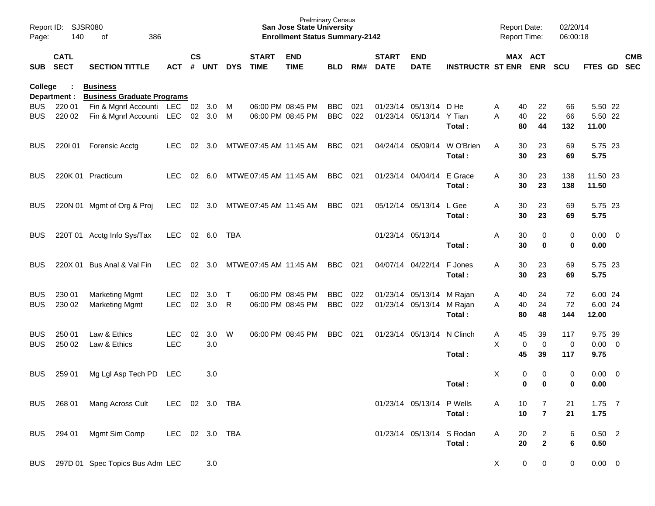| Page:          | Report ID: SJSR080<br>140  | 386<br>of                                            |            |                    |            |            |                             | <b>San Jose State University</b><br><b>Enrollment Status Summary-2142</b> | <b>Prelminary Census</b> |     |                             |                           |                             | <b>Report Date:</b><br><b>Report Time:</b> |                  | 02/20/14<br>06:00:18 |                   |                         |            |
|----------------|----------------------------|------------------------------------------------------|------------|--------------------|------------|------------|-----------------------------|---------------------------------------------------------------------------|--------------------------|-----|-----------------------------|---------------------------|-----------------------------|--------------------------------------------|------------------|----------------------|-------------------|-------------------------|------------|
| SUB            | <b>CATL</b><br><b>SECT</b> | <b>SECTION TITTLE</b>                                | <b>ACT</b> | $\mathsf{cs}$<br># | UNT        | <b>DYS</b> | <b>START</b><br><b>TIME</b> | <b>END</b><br><b>TIME</b>                                                 | <b>BLD</b>               | RM# | <b>START</b><br><b>DATE</b> | <b>END</b><br><b>DATE</b> | <b>INSTRUCTR ST ENR ENR</b> |                                            | MAX ACT          | <b>SCU</b>           | FTES GD SEC       |                         | <b>CMB</b> |
| <b>College</b> | Department :               | <b>Business</b><br><b>Business Graduate Programs</b> |            |                    |            |            |                             |                                                                           |                          |     |                             |                           |                             |                                            |                  |                      |                   |                         |            |
| <b>BUS</b>     | 220 01                     | Fin & Mgnrl Accounti LEC                             |            |                    | 02 3.0     | M          |                             | 06:00 PM 08:45 PM                                                         | <b>BBC</b>               | 021 |                             | 01/23/14 05/13/14         | D He                        | Α<br>40                                    | 22               | 66                   | 5.50 22           |                         |            |
| <b>BUS</b>     | 220 02                     | Fin & Mgnrl Accounti                                 | LEC        |                    | 02 3.0     | M          |                             | 06:00 PM 08:45 PM                                                         | <b>BBC</b>               | 022 |                             | 01/23/14 05/13/14         | Y Tian<br>Total:            | А<br>40<br>80                              | 22<br>44         | 66<br>132            | 5.50 22<br>11.00  |                         |            |
| <b>BUS</b>     | 220101                     | <b>Forensic Acctg</b>                                | LEC.       | 02                 | 3.0        |            | MTWE 07:45 AM 11:45 AM      |                                                                           | <b>BBC</b>               | 021 |                             | 04/24/14 05/09/14         | W O'Brien<br>Total:         | A<br>30<br>30                              | 23<br>23         | 69<br>69             | 5.75 23<br>5.75   |                         |            |
| <b>BUS</b>     |                            | 220K 01 Practicum                                    | <b>LEC</b> |                    | 02 6.0     |            | MTWE 07:45 AM 11:45 AM      |                                                                           | <b>BBC</b>               | 021 |                             | 01/23/14 04/04/14         | E Grace<br>Total:           | A<br>30<br>30                              | 23<br>23         | 138<br>138           | 11.50 23<br>11.50 |                         |            |
| <b>BUS</b>     |                            | 220N 01 Mgmt of Org & Proj                           | LEC        |                    | 02 3.0     |            | MTWE 07:45 AM 11:45 AM      |                                                                           | <b>BBC</b>               | 021 |                             | 05/12/14 05/13/14         | L Gee<br>Total:             | A<br>30<br>30                              | 23<br>23         | 69<br>69             | 5.75 23<br>5.75   |                         |            |
| <b>BUS</b>     |                            | 220T 01 Acctg Info Sys/Tax                           | <b>LEC</b> |                    | 02 6.0     | TBA        |                             |                                                                           |                          |     |                             | 01/23/14 05/13/14         | Total:                      | Α<br>30<br>30                              | 0<br>0           | 0<br>$\mathbf 0$     | 0.00<br>0.00      | $\overline{\mathbf{0}}$ |            |
| BUS            | 220X 01                    | Bus Anal & Val Fin                                   | <b>LEC</b> | 02                 | 3.0        |            | MTWE 07:45 AM 11:45 AM      |                                                                           | <b>BBC</b>               | 021 |                             | 04/07/14 04/22/14         | F Jones<br>Total:           | A<br>30<br>30                              | 23<br>23         | 69<br>69             | 5.75 23<br>5.75   |                         |            |
| <b>BUS</b>     | 230 01                     | <b>Marketing Mgmt</b>                                | <b>LEC</b> | 02                 | 3.0        | $\top$     |                             | 06:00 PM 08:45 PM                                                         | <b>BBC</b>               | 022 |                             | 01/23/14 05/13/14         | M Rajan                     | 40<br>A                                    | 24               | 72                   | 6.00 24           |                         |            |
| <b>BUS</b>     | 230 02                     | <b>Marketing Mgmt</b>                                | <b>LEC</b> | 02                 | 3.0        | R          |                             | 06:00 PM 08:45 PM                                                         | <b>BBC</b>               | 022 |                             | 01/23/14 05/13/14         | M Rajan                     | 40<br>A                                    | 24               | 72                   | 6.00 24           |                         |            |
|                |                            |                                                      |            |                    |            |            |                             |                                                                           |                          |     |                             |                           | Total:                      | 80                                         | 48               | 144                  | 12.00             |                         |            |
| <b>BUS</b>     | 250 01                     | Law & Ethics                                         | <b>LEC</b> | 02                 | 3.0        | W          |                             | 06:00 PM 08:45 PM                                                         | <b>BBC</b>               | 021 |                             | 01/23/14 05/13/14         | N Clinch                    | Α<br>45                                    | 39               | 117                  | 9.75 39           |                         |            |
| <b>BUS</b>     | 250 02                     | Law & Ethics                                         | <b>LEC</b> |                    | 3.0        |            |                             |                                                                           |                          |     |                             |                           |                             | X                                          | $\mathbf 0$<br>0 | $\mathbf 0$          | $0.00 \t 0$       |                         |            |
|                |                            |                                                      |            |                    |            |            |                             |                                                                           |                          |     |                             |                           | Total:                      | 45                                         | 39               | 117                  | 9.75              |                         |            |
| <b>BUS</b>     | 259 01                     | Mg Lgl Asp Tech PD                                   | LEC        |                    | 3.0        |            |                             |                                                                           |                          |     |                             |                           |                             | X                                          | 0<br>0           | 0                    | 0.00              | $\overline{0}$          |            |
|                |                            |                                                      |            |                    |            |            |                             |                                                                           |                          |     |                             |                           | Total:                      |                                            | 0<br>0           | 0                    | 0.00              |                         |            |
| <b>BUS</b>     | 268 01                     | Mang Across Cult                                     | LEC        |                    | 02 3.0 TBA |            |                             |                                                                           |                          |     |                             | 01/23/14 05/13/14 P Wells |                             | A<br>10                                    | 7                | 21                   | $1.75$ 7          |                         |            |
|                |                            |                                                      |            |                    |            |            |                             |                                                                           |                          |     |                             |                           | Total:                      | 10                                         | $\overline{7}$   | 21                   | 1.75              |                         |            |
| <b>BUS</b>     | 294 01                     | Mgmt Sim Comp                                        | LEC        |                    | 02 3.0 TBA |            |                             |                                                                           |                          |     |                             | 01/23/14 05/13/14 S Rodan |                             | Α<br>20                                    | $\overline{2}$   | 6                    | $0.50$ 2          |                         |            |
|                |                            |                                                      |            |                    |            |            |                             |                                                                           |                          |     |                             |                           | Total:                      | 20                                         | $\mathbf{2}$     | 6                    | 0.50              |                         |            |
| <b>BUS</b>     |                            | 297D 01 Spec Topics Bus Adm LEC                      |            |                    | 3.0        |            |                             |                                                                           |                          |     |                             |                           |                             | X                                          | 0<br>$\mathbf 0$ | 0                    | $0.00 \t 0$       |                         |            |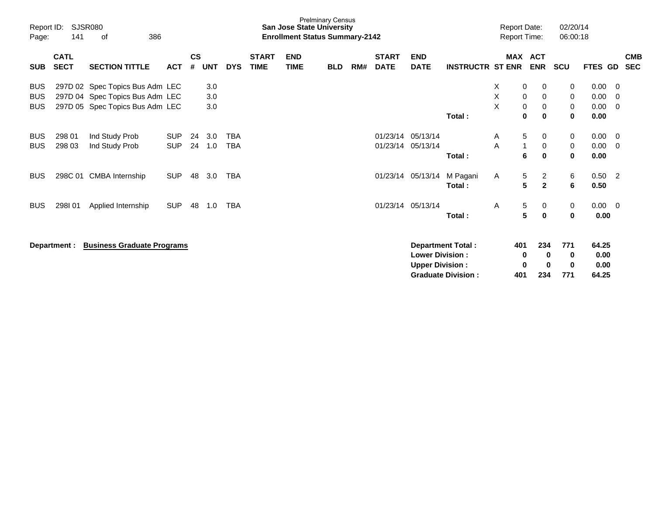| Page:                                  | Report ID:<br><b>SJSR080</b><br>141<br>386<br>of<br><b>CATL</b> |                                                                                                       |                          |                    |                   |                          |                             | <b>San Jose State University</b><br><b>Enrollment Status Summary-2142</b> | <b>Prelminary Census</b> |     |                             |                                                  |                                                       |             | <b>Report Date:</b><br><b>Report Time:</b> |                                  | 02/20/14<br>06:00:18 |                                |                |                          |
|----------------------------------------|-----------------------------------------------------------------|-------------------------------------------------------------------------------------------------------|--------------------------|--------------------|-------------------|--------------------------|-----------------------------|---------------------------------------------------------------------------|--------------------------|-----|-----------------------------|--------------------------------------------------|-------------------------------------------------------|-------------|--------------------------------------------|----------------------------------|----------------------|--------------------------------|----------------|--------------------------|
| <b>SUB</b>                             | <b>SECT</b>                                                     | <b>SECTION TITTLE</b>                                                                                 | <b>ACT</b>               | $\mathsf{cs}$<br># | <b>UNT</b>        | <b>DYS</b>               | <b>START</b><br><b>TIME</b> | <b>END</b><br><b>TIME</b>                                                 | <b>BLD</b>               | RM# | <b>START</b><br><b>DATE</b> | <b>END</b><br><b>DATE</b>                        | <b>INSTRUCTR ST ENR</b>                               |             |                                            | MAX ACT<br><b>ENR</b>            | <b>SCU</b>           | FTES GD                        |                | <b>CMB</b><br><b>SEC</b> |
| <b>BUS</b><br><b>BUS</b><br><b>BUS</b> |                                                                 | 297D 02 Spec Topics Bus Adm LEC<br>297D 04 Spec Topics Bus Adm LEC<br>297D 05 Spec Topics Bus Adm LEC |                          |                    | 3.0<br>3.0<br>3.0 |                          |                             |                                                                           |                          |     |                             |                                                  | Total:                                                | Χ<br>X<br>X | 0<br>0<br>0<br>$\bf{0}$                    | 0<br>0<br>0<br>$\bf{0}$          | 0<br>0<br>0<br>0     | 0.00<br>0.00<br>0.00<br>0.00   | 0<br>0<br>0    |                          |
| <b>BUS</b><br><b>BUS</b>               | 298 01<br>298 03                                                | Ind Study Prob<br>Ind Study Prob                                                                      | <b>SUP</b><br><b>SUP</b> | 24<br>24           | 3.0<br>1.0        | <b>TBA</b><br><b>TBA</b> |                             |                                                                           |                          |     | 01/23/14<br>01/23/14        | 05/13/14<br>05/13/14                             | Total:                                                | A<br>A      | 5<br>1<br>6                                | 0<br>0<br>$\mathbf 0$            | 0<br>0<br>0          | 0.00<br>0.00<br>0.00           | 0<br>0         |                          |
| <b>BUS</b>                             |                                                                 | 298C 01 CMBA Internship                                                                               | <b>SUP</b>               | 48                 | 3.0               | <b>TBA</b>               |                             |                                                                           |                          |     | 01/23/14                    | 05/13/14                                         | M Pagani<br>Total:                                    | A           | 5<br>5                                     | $\overline{c}$<br>$\overline{2}$ | 6<br>6               | 0.50<br>0.50                   | $\overline{2}$ |                          |
| <b>BUS</b>                             | 298101                                                          | Applied Internship                                                                                    | <b>SUP</b>               | 48                 | 1.0               | <b>TBA</b>               |                             |                                                                           |                          |     |                             | 01/23/14 05/13/14                                | Total:                                                | Α           | 5<br>5                                     | 0<br>$\mathbf 0$                 | 0<br>0               | $0.00 \t 0$<br>0.00            |                |                          |
|                                        | Department :                                                    | <b>Business Graduate Programs</b>                                                                     |                          |                    |                   |                          |                             |                                                                           |                          |     |                             | <b>Lower Division:</b><br><b>Upper Division:</b> | <b>Department Total:</b><br><b>Graduate Division:</b> |             | 401<br>0<br>0<br>401                       | 234<br>0<br>0<br>234             | 771<br>0<br>0<br>771 | 64.25<br>0.00<br>0.00<br>64.25 |                |                          |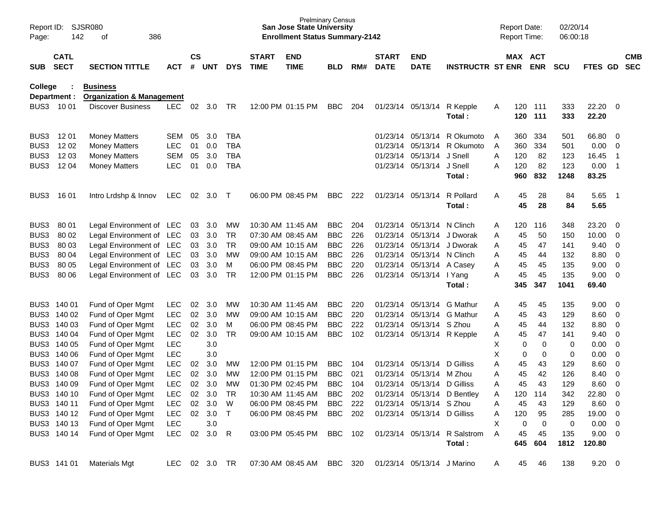| Report ID:<br>Page: | 142                        | SJSR080<br>386<br>οf                 |               |                    |            |              |                             | <b>Prelminary Census</b><br><b>San Jose State University</b><br><b>Enrollment Status Summary-2142</b> |            |     |                             |                             |                                        |   | <b>Report Date:</b><br><b>Report Time:</b> |             | 02/20/14<br>06:00:18 |                       |                         |                          |
|---------------------|----------------------------|--------------------------------------|---------------|--------------------|------------|--------------|-----------------------------|-------------------------------------------------------------------------------------------------------|------------|-----|-----------------------------|-----------------------------|----------------------------------------|---|--------------------------------------------|-------------|----------------------|-----------------------|-------------------------|--------------------------|
| <b>SUB</b>          | <b>CATL</b><br><b>SECT</b> | <b>SECTION TITTLE</b>                | <b>ACT</b>    | $\mathsf{cs}$<br># | <b>UNT</b> | <b>DYS</b>   | <b>START</b><br><b>TIME</b> | <b>END</b><br><b>TIME</b>                                                                             | <b>BLD</b> | RM# | <b>START</b><br><b>DATE</b> | <b>END</b><br><b>DATE</b>   | <b>INSTRUCTR ST ENR</b>                |   | MAX ACT                                    | <b>ENR</b>  | <b>SCU</b>           | FTES GD               |                         | <b>CMB</b><br><b>SEC</b> |
| College             |                            | <b>Business</b>                      |               |                    |            |              |                             |                                                                                                       |            |     |                             |                             |                                        |   |                                            |             |                      |                       |                         |                          |
|                     | Department :               | <b>Organization &amp; Management</b> |               |                    |            |              |                             |                                                                                                       |            |     |                             |                             |                                        |   |                                            |             |                      |                       |                         |                          |
| BUS3                | 10 01                      | <b>Discover Business</b>             | <b>LEC</b>    | 02                 | 3.0        | TR           |                             | 12:00 PM 01:15 PM                                                                                     | <b>BBC</b> | 204 |                             | 01/23/14 05/13/14           | R Kepple<br>Total:                     | A | 120<br>120                                 | 111<br>111  | 333<br>333           | 22.20<br>22.20        | - 0                     |                          |
| BUS3                | 12 01                      | <b>Money Matters</b>                 | SEM           | 05                 | 3.0        | <b>TBA</b>   |                             |                                                                                                       |            |     | 01/23/14                    | 05/13/14                    | R Okumoto                              | A | 360                                        | 334         | 501                  | 66.80                 | - 0                     |                          |
| BUS3                | 12 02                      | <b>Money Matters</b>                 | <b>LEC</b>    | 01                 | 0.0        | <b>TBA</b>   |                             |                                                                                                       |            |     |                             | 01/23/14 05/13/14           | R Okumoto                              | A | 360                                        | 334         | 501                  | 0.00                  | $\overline{0}$          |                          |
| BUS3                | 12 03                      | <b>Money Matters</b>                 | <b>SEM</b>    | 05                 | 3.0        | <b>TBA</b>   |                             |                                                                                                       |            |     |                             | 01/23/14 05/13/14           | J Snell                                | A | 120                                        | 82          | 123                  | 16.45                 | -1                      |                          |
| BUS3                | 1204                       | <b>Money Matters</b>                 | <b>LEC</b>    | 01                 | 0.0        | <b>TBA</b>   |                             |                                                                                                       |            |     |                             | 01/23/14 05/13/14           | J Snell                                | A | 120                                        | 82          | 123                  | 0.00                  | -1                      |                          |
|                     |                            |                                      |               |                    |            |              |                             |                                                                                                       |            |     |                             |                             | Total:                                 |   | 960                                        | 832         | 1248                 | 83.25                 |                         |                          |
| BUS3                | 16 01                      | Intro Lrdshp & Innov                 | <b>LEC</b>    | 02                 | 3.0        | $\top$       |                             | 06:00 PM 08:45 PM                                                                                     | <b>BBC</b> | 222 |                             | 01/23/14 05/13/14           | R Pollard<br>Total:                    | A | 45<br>45                                   | 28<br>28    | 84<br>84             | 5.65<br>5.65          | - 1                     |                          |
|                     |                            |                                      |               |                    |            |              |                             |                                                                                                       |            |     |                             |                             |                                        |   |                                            |             |                      |                       |                         |                          |
| BUS3                | 80 01                      | Legal Environment of LEC             |               | 03                 | 3.0        | МW           |                             | 10:30 AM 11:45 AM                                                                                     | <b>BBC</b> | 204 | 01/23/14                    | 05/13/14 N Clinch           |                                        | A | 120                                        | 116         | 348                  | 23.20                 | $\overline{\mathbf{0}}$ |                          |
| BUS3                | 80 02                      | Legal Environment of LEC             |               | 03                 | 3.0        | <b>TR</b>    |                             | 07:30 AM 08:45 AM                                                                                     | <b>BBC</b> | 226 | 01/23/14                    | 05/13/14                    | J Dworak                               | A | 45                                         | 50          | 150                  | 10.00                 | - 0                     |                          |
| BUS3                | 80 03                      | Legal Environment of LEC             |               | 03                 | 3.0        | <b>TR</b>    |                             | 09:00 AM 10:15 AM                                                                                     | <b>BBC</b> | 226 | 01/23/14                    | 05/13/14                    | J Dworak                               | A | 45                                         | 47          | 141                  | 9.40                  | 0                       |                          |
| BUS3                | 80 04                      | Legal Environment of LEC             |               | 03                 | 3.0        | МW           |                             | 09:00 AM 10:15 AM                                                                                     | <b>BBC</b> | 226 |                             | 01/23/14 05/13/14 N Clinch  |                                        | A | 45                                         | 44          | 132                  | 8.80                  | $\overline{\mathbf{0}}$ |                          |
| BUS3                | 80 05                      | Legal Environment of LEC             |               | 03                 | 3.0        | м            |                             | 06:00 PM 08:45 PM                                                                                     | <b>BBC</b> | 220 |                             | 01/23/14 05/13/14 A Casey   |                                        | A | 45                                         | 45          | 135                  | 9.00                  | 0                       |                          |
| BUS3                | 80 06                      | Legal Environment of LEC             |               | 03                 | 3.0        | <b>TR</b>    |                             | 12:00 PM 01:15 PM                                                                                     | <b>BBC</b> | 226 |                             | 01/23/14 05/13/14 I Yang    |                                        | A | 45                                         | 45          | 135                  | 9.00                  | $\overline{\mathbf{0}}$ |                          |
|                     |                            |                                      |               |                    |            |              |                             |                                                                                                       |            |     |                             |                             | Total:                                 |   | 345                                        | 347         | 1041                 | 69.40                 |                         |                          |
| BUS3                | 140 01                     | Fund of Oper Mgmt                    | <b>LEC</b>    | 02                 | 3.0        | МW           |                             | 10:30 AM 11:45 AM                                                                                     | <b>BBC</b> | 220 |                             |                             | 01/23/14 05/13/14 G Mathur             | A | 45                                         | 45          | 135                  | 9.00                  | $\overline{\mathbf{0}}$ |                          |
| BUS3                | 140 02                     | Fund of Oper Mgmt                    | <b>LEC</b>    | 02                 | 3.0        | МW           |                             | 09:00 AM 10:15 AM                                                                                     | <b>BBC</b> | 220 |                             |                             | 01/23/14 05/13/14 G Mathur             | A | 45                                         | 43          | 129                  | 8.60                  | - 0                     |                          |
| BUS3                | 140 03                     | Fund of Oper Mgmt                    | <b>LEC</b>    | 02                 | 3.0        | м            |                             | 06:00 PM 08:45 PM                                                                                     | <b>BBC</b> | 222 | 01/23/14                    | 05/13/14 S Zhou             |                                        | A | 45                                         | 44          | 132                  | 8.80                  | 0                       |                          |
| BUS3                | 140 04                     | Fund of Oper Mgmt                    | <b>LEC</b>    | 02                 | 3.0        | <b>TR</b>    |                             | 09:00 AM 10:15 AM                                                                                     | <b>BBC</b> | 102 |                             |                             | 01/23/14 05/13/14 R Kepple             | Α | 45                                         | 47          | 141                  | 9.40                  | 0                       |                          |
| BUS3                | 140 05                     | Fund of Oper Mgmt                    | <b>LEC</b>    |                    | 3.0        |              |                             |                                                                                                       |            |     |                             |                             |                                        | Χ | 0                                          | 0           | 0                    | 0.00                  | 0                       |                          |
| BUS3                | 140 06                     | Fund of Oper Mgmt                    | <b>LEC</b>    |                    | 3.0        |              |                             |                                                                                                       |            |     |                             |                             |                                        | X | 0                                          | 0           | 0                    | 0.00                  | $\mathbf 0$             |                          |
| BUS3                | 140 07                     | Fund of Oper Mgmt                    | <b>LEC</b>    | 02                 | 3.0        | МW           |                             | 12:00 PM 01:15 PM                                                                                     | <b>BBC</b> | 104 | 01/23/14                    | 05/13/14                    | D Gilliss                              | Α | 45                                         | 43          | 129                  | 8.60                  | $\mathbf 0$             |                          |
|                     | BUS3 140 08                | Fund of Oper Mgmt                    | <b>LEC</b>    | 02                 | 3.0        | MW           |                             | 12:00 PM 01:15 PM                                                                                     | <b>BBC</b> | 021 |                             | 01/23/14 05/13/14 M Zhou    |                                        | A | 45                                         | 42          | 126                  | 8.40                  | 0                       |                          |
|                     | BUS3 140 09                | Fund of Oper Mgmt                    | LEC           |                    | 02 3.0     | MW           |                             | 01:30 PM 02:45 PM                                                                                     | <b>BBC</b> | 104 |                             | 01/23/14 05/13/14 D Gilliss |                                        | Α | 45                                         | 43          | 129                  | 8.60                  | $\overline{0}$          |                          |
|                     | BUS3 140 10                | Fund of Oper Mgmt                    | <b>LEC</b>    |                    | 02 3.0     | TR           |                             | 10:30 AM 11:45 AM                                                                                     | BBC        | 202 |                             |                             | 01/23/14 05/13/14 D Bentley            | Α | 120                                        | 114         | 342                  | 22.80 0               |                         |                          |
|                     | BUS3 140 11                | Fund of Oper Mgmt                    | <b>LEC</b>    |                    | 02 3.0     | W            |                             | 06:00 PM 08:45 PM                                                                                     | BBC 222    |     |                             | 01/23/14 05/13/14 S Zhou    |                                        | Α | 45                                         | 43          | 129                  | 8.60 0                |                         |                          |
|                     | BUS3 140 12                | Fund of Oper Mgmt                    | <b>LEC</b>    |                    | 02 3.0     | $\top$       |                             | 06:00 PM 08:45 PM                                                                                     | BBC 202    |     |                             | 01/23/14 05/13/14 D Gilliss |                                        | A | 120                                        | 95          | 285                  | 19.00 0               |                         |                          |
|                     | BUS3 140 13                | Fund of Oper Mgmt                    | <b>LEC</b>    |                    | 3.0        |              |                             |                                                                                                       |            |     |                             |                             |                                        | X | 0                                          | $\mathbf 0$ | 0                    | $0.00 \t 0$           |                         |                          |
|                     | BUS3 140 14                | Fund of Oper Mgmt                    | <b>LEC</b>    |                    | 02 3.0     | $\mathsf{R}$ |                             | 03:00 PM 05:45 PM                                                                                     | BBC 102    |     |                             |                             | 01/23/14 05/13/14 R Salstrom<br>Total: | A | 45<br>645                                  | 45<br>604   | 135<br>1812          | $9.00 \t 0$<br>120.80 |                         |                          |
|                     | BUS3 141 01                | <b>Materials Mgt</b>                 | LEC 02 3.0 TR |                    |            |              |                             | 07:30 AM 08:45 AM BBC 320 01/23/14 05/13/14 J Marino                                                  |            |     |                             |                             |                                        | A | 45                                         | 46          | 138                  | $9.20 \ 0$            |                         |                          |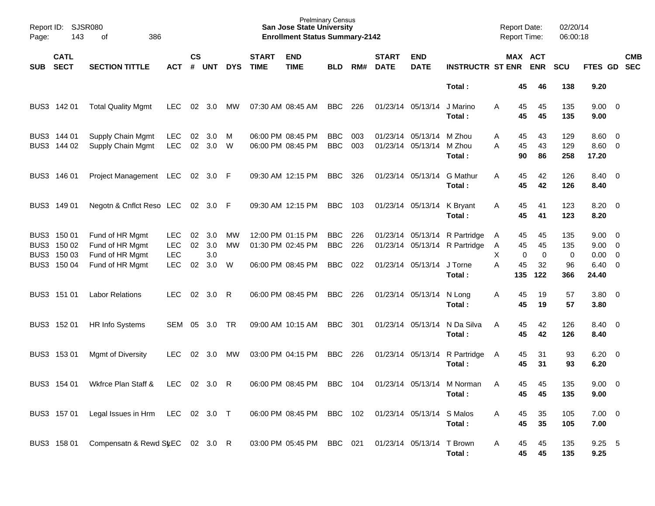| Page:      | Report ID: SJSR080<br>143                                | 386<br>of                                                                |                                                      |                    |                          |               |                             | <b>Prelminary Census</b><br><b>San Jose State University</b><br><b>Enrollment Status Summary-2142</b> |                                        |                   |                             |                                        |                                                                                     | <b>Report Date:</b><br><b>Report Time:</b> |                                           | 02/20/14<br>06:00:18         |                                                                         |            |
|------------|----------------------------------------------------------|--------------------------------------------------------------------------|------------------------------------------------------|--------------------|--------------------------|---------------|-----------------------------|-------------------------------------------------------------------------------------------------------|----------------------------------------|-------------------|-----------------------------|----------------------------------------|-------------------------------------------------------------------------------------|--------------------------------------------|-------------------------------------------|------------------------------|-------------------------------------------------------------------------|------------|
| <b>SUB</b> | <b>CATL</b><br><b>SECT</b>                               | <b>SECTION TITTLE</b>                                                    | <b>ACT</b>                                           | $\mathsf{cs}$<br># | <b>UNT</b>               | <b>DYS</b>    | <b>START</b><br><b>TIME</b> | <b>END</b><br><b>TIME</b>                                                                             | <b>BLD</b>                             | RM#               | <b>START</b><br><b>DATE</b> | <b>END</b><br><b>DATE</b>              | <b>INSTRUCTR ST ENR</b>                                                             |                                            | MAX ACT<br><b>ENR</b>                     | <b>SCU</b>                   | FTES GD SEC                                                             | <b>CMB</b> |
|            |                                                          |                                                                          |                                                      |                    |                          |               |                             |                                                                                                       |                                        |                   |                             |                                        | Total:                                                                              | 45                                         | 46                                        | 138                          | 9.20                                                                    |            |
|            | BUS3 142 01                                              | <b>Total Quality Mgmt</b>                                                | <b>LEC</b>                                           | 02                 | 3.0                      | МW            |                             | 07:30 AM 08:45 AM                                                                                     | <b>BBC</b>                             | 226               |                             | 01/23/14 05/13/14                      | J Marino<br>Total:                                                                  | A<br>45<br>45                              | 45<br>45                                  | 135<br>135                   | $9.00 \t 0$<br>9.00                                                     |            |
|            | BUS3 144 01<br>BUS3 144 02                               | Supply Chain Mgmt<br>Supply Chain Mgmt                                   | <b>LEC</b><br><b>LEC</b>                             | 02<br>02           | 3.0<br>3.0               | M<br>W        |                             | 06:00 PM 08:45 PM<br>06:00 PM 08:45 PM                                                                | <b>BBC</b><br><b>BBC</b>               | 003<br>003        |                             | 01/23/14 05/13/14<br>01/23/14 05/13/14 | M Zhou<br>M Zhou<br>Total:                                                          | 45<br>Α<br>A<br>45<br>90                   | 43<br>43<br>86                            | 129<br>129<br>258            | $8.60 \quad 0$<br>$8.60 \quad 0$<br>17.20                               |            |
|            | BUS3 146 01                                              | Project Management LEC 02 3.0 F                                          |                                                      |                    |                          |               |                             | 09:30 AM 12:15 PM                                                                                     | <b>BBC</b>                             | 326               |                             | 01/23/14 05/13/14                      | <b>G Mathur</b><br>Total:                                                           | 45<br>A<br>45                              | 42<br>42                                  | 126<br>126                   | 8.40 0<br>8.40                                                          |            |
|            | BUS3 149 01                                              | Negotn & Cnflct Reso LEC 02 3.0 F                                        |                                                      |                    |                          |               |                             | 09:30 AM 12:15 PM                                                                                     | <b>BBC</b>                             | 103               |                             | 01/23/14 05/13/14 K Bryant             | Total:                                                                              | 45<br>Α<br>45                              | 41<br>41                                  | 123<br>123                   | $8.20 \ 0$<br>8.20                                                      |            |
|            | BUS3 150 01<br>BUS3 150 02<br>BUS3 150 03<br>BUS3 150 04 | Fund of HR Mgmt<br>Fund of HR Mgmt<br>Fund of HR Mgmt<br>Fund of HR Mgmt | <b>LEC</b><br><b>LEC</b><br><b>LEC</b><br><b>LEC</b> | 02<br>02<br>02     | 3.0<br>3.0<br>3.0<br>3.0 | MW<br>МW<br>W |                             | 12:00 PM 01:15 PM<br>01:30 PM 02:45 PM<br>06:00 PM 08:45 PM                                           | <b>BBC</b><br><b>BBC</b><br><b>BBC</b> | 226<br>226<br>022 |                             | 01/23/14 05/13/14                      | 01/23/14 05/13/14 R Partridge<br>01/23/14 05/13/14 R Partridge<br>J Torne<br>Total: | 45<br>A<br>45<br>A<br>х<br>Α<br>45<br>135  | 45<br>45<br>0<br>$\mathbf 0$<br>32<br>122 | 135<br>135<br>0<br>96<br>366 | $9.00 \quad 0$<br>$9.00 \t 0$<br>$0.00 \t 0$<br>$6.40 \quad 0$<br>24.40 |            |
|            | BUS3 151 01                                              | <b>Labor Relations</b>                                                   | LEC.                                                 | 02                 | 3.0                      | R             |                             | 06:00 PM 08:45 PM                                                                                     | <b>BBC</b>                             | 226               |                             | 01/23/14 05/13/14                      | N Long<br>Total:                                                                    | 45<br>A<br>45                              | 19<br>19                                  | 57<br>57                     | 3.80 0<br>3.80                                                          |            |
|            | BUS3 152 01                                              | <b>HR Info Systems</b>                                                   | SEM                                                  | 05                 | 3.0                      | <b>TR</b>     |                             | 09:00 AM 10:15 AM                                                                                     | <b>BBC</b>                             | 301               |                             | 01/23/14 05/13/14                      | N Da Silva<br>Total:                                                                | A<br>45<br>45                              | 42<br>42                                  | 126<br>126                   | 8.40 0<br>8.40                                                          |            |
|            | BUS3 153 01                                              | Mgmt of Diversity                                                        | LEC                                                  | 02                 | 3.0                      | МW            |                             | 03:00 PM 04:15 PM                                                                                     | <b>BBC</b>                             | 226               |                             | 01/23/14 05/13/14                      | R Partridge<br>Total:                                                               | 45<br>A<br>45                              | 31<br>31                                  | 93<br>93                     | $6.20 \quad 0$<br>6.20                                                  |            |
|            | BUS3 154 01                                              | Wkfrce Plan Staff &                                                      | <b>LEC</b>                                           |                    | 02 3.0                   | -R            |                             | 06:00 PM 08:45 PM                                                                                     | BBC                                    | 104               |                             |                                        | 01/23/14 05/13/14 M Norman<br>Total:                                                | 45<br>A<br>45                              | 45<br>45                                  | 135<br>135                   | $9.00 \t 0$<br>9.00                                                     |            |
|            | BUS3 157 01                                              | Legal Issues in Hrm LEC 02 3.0 T                                         |                                                      |                    |                          |               |                             | 06:00 PM 08:45 PM BBC 102                                                                             |                                        |                   |                             | 01/23/14 05/13/14 S Malos              | Total:                                                                              | 45<br>A<br>45                              | 35<br>35                                  | 105<br>105                   | $7.00 \t 0$<br>7.00                                                     |            |
|            | BUS3 158 01                                              | Compensatn & Rewd St EC 02 3.0 R                                         |                                                      |                    |                          |               |                             | 03:00 PM 05:45 PM BBC 021                                                                             |                                        |                   |                             | 01/23/14 05/13/14                      | T Brown<br>Total:                                                                   | 45<br>A                                    | 45<br>45<br>45                            | 135<br>135                   | 9.25 5<br>9.25                                                          |            |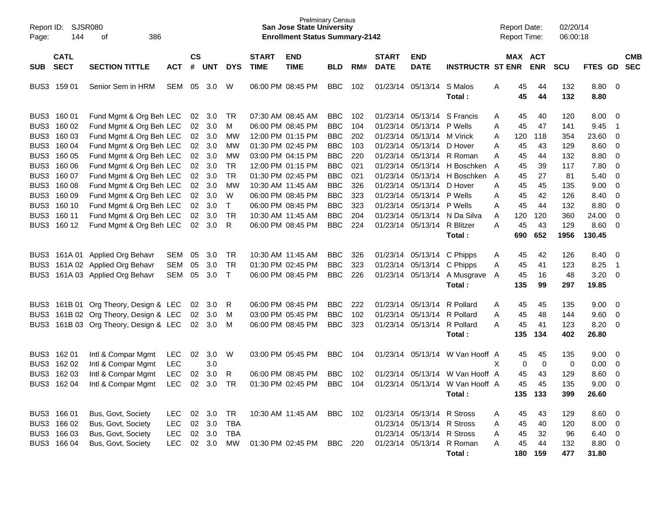| Page:                | Report ID: SJSR080<br>144  | 386<br>οf                                                                     |                          |                             |                   |                                     |                             | <b>San Jose State University</b><br><b>Enrollment Status Summary-2142</b> | <b>Prelminary Census</b>               |                   |                             |                                                                                     |                                                              | <b>Report Date:</b><br>Report Time: |                       | 02/20/14<br>06:00:18 |                       |                               |                          |
|----------------------|----------------------------|-------------------------------------------------------------------------------|--------------------------|-----------------------------|-------------------|-------------------------------------|-----------------------------|---------------------------------------------------------------------------|----------------------------------------|-------------------|-----------------------------|-------------------------------------------------------------------------------------|--------------------------------------------------------------|-------------------------------------|-----------------------|----------------------|-----------------------|-------------------------------|--------------------------|
| <b>SUB</b>           | <b>CATL</b><br><b>SECT</b> | <b>SECTION TITTLE</b>                                                         | <b>ACT</b>               | $\mathsf{cs}$<br>$\pmb{\#}$ | <b>UNT</b>        | <b>DYS</b>                          | <b>START</b><br><b>TIME</b> | <b>END</b><br><b>TIME</b>                                                 | <b>BLD</b>                             | RM#               | <b>START</b><br><b>DATE</b> | <b>END</b><br><b>DATE</b>                                                           | <b>INSTRUCTR ST ENR</b>                                      |                                     | MAX ACT<br><b>ENR</b> | <b>SCU</b>           | FTES GD               |                               | <b>CMB</b><br><b>SEC</b> |
|                      | BUS3 159 01                | Senior Sem in HRM                                                             | SEM                      | 05                          | 3.0               | W                                   |                             | 06:00 PM 08:45 PM                                                         | <b>BBC</b>                             | 102               |                             | 01/23/14 05/13/14                                                                   | S Malos<br>Total:                                            | 45<br>Α<br>45                       | 44<br>44              | 132<br>132           | 8.80 0<br>8.80        |                               |                          |
| BUS3                 | BUS3 160 01<br>160 02      | Fund Mgmt & Org Beh LEC<br>Fund Mgmt & Org Beh LEC                            |                          | 02<br>02                    | 3.0<br>3.0        | TR<br>M                             |                             | 07:30 AM 08:45 AM<br>06:00 PM 08:45 PM                                    | <b>BBC</b><br><b>BBC</b>               | 102<br>104        |                             | 01/23/14 05/13/14 P Wells                                                           | 01/23/14 05/13/14 S Francis                                  | 45<br>Α<br>45<br>Α                  | 40<br>47              | 120<br>141           | 8.00<br>9.45          | 0<br>-1                       |                          |
| BUS3<br>BUS3<br>BUS3 | 160 03<br>160 04<br>160 05 | Fund Mgmt & Org Beh LEC<br>Fund Mgmt & Org Beh LEC<br>Fund Mgmt & Org Beh LEC |                          | 02<br>02<br>$02\,$          | 3.0<br>3.0<br>3.0 | <b>MW</b><br><b>MW</b><br><b>MW</b> |                             | 12:00 PM 01:15 PM<br>01:30 PM 02:45 PM<br>03:00 PM 04:15 PM               | <b>BBC</b><br><b>BBC</b><br><b>BBC</b> | 202<br>103<br>220 |                             | 01/23/14 05/13/14 M Virick<br>01/23/14 05/13/14 D Hover                             | 01/23/14 05/13/14 R Roman                                    | Α<br>120<br>45<br>Α<br>45<br>Α      | 118<br>43<br>44       | 354<br>129<br>132    | 23.60<br>8.60<br>8.80 | 0<br>0<br>0                   |                          |
| BUS3<br>BUS3         | 160 06<br>160 07           | Fund Mgmt & Org Beh LEC<br>Fund Mgmt & Org Beh LEC                            |                          | 02<br>02                    | 3.0<br>3.0        | <b>TR</b><br><b>TR</b>              |                             | 12:00 PM 01:15 PM<br>01:30 PM 02:45 PM                                    | <b>BBC</b><br><b>BBC</b>               | 021<br>021        |                             |                                                                                     | 01/23/14 05/13/14 H Boschken<br>01/23/14 05/13/14 H Boschken | A<br>45<br>45<br>A                  | 39<br>27              | 117<br>81            | 7.80<br>5.40          | 0<br>0                        |                          |
| BUS3<br>BUS3<br>BUS3 | 160 08<br>160 09<br>160 10 | Fund Mgmt & Org Beh LEC<br>Fund Mgmt & Org Beh LEC<br>Fund Mgmt & Org Beh LEC |                          | 02<br>02<br>02              | 3.0<br>3.0<br>3.0 | <b>MW</b><br>W<br>$\top$            |                             | 10:30 AM 11:45 AM<br>06:00 PM 08:45 PM<br>06:00 PM 08:45 PM               | <b>BBC</b><br><b>BBC</b><br><b>BBC</b> | 326<br>323<br>323 |                             | 01/23/14 05/13/14 D Hover<br>01/23/14 05/13/14 P Wells<br>01/23/14 05/13/14 P Wells |                                                              | 45<br>Α<br>45<br>Α<br>45<br>Α       | 45<br>42<br>44        | 135<br>126<br>132    | 9.00<br>8.40<br>8.80  | 0<br>0<br>0                   |                          |
| BUS3<br>BUS3         | 160 11<br>160 12           | Fund Mgmt & Org Beh LEC<br>Fund Mgmt & Org Beh LEC                            |                          | 02<br>02                    | 3.0<br>3.0        | <b>TR</b><br>R                      |                             | 10:30 AM 11:45 AM<br>06:00 PM 08:45 PM                                    | <b>BBC</b><br><b>BBC</b>               | 204<br>224        |                             | 01/23/14 05/13/14 R Blitzer                                                         | 01/23/14 05/13/14 N Da Silva                                 | 120<br>A<br>A<br>45                 | 120<br>43             | 360<br>129           | 24.00<br>8.60         | $\mathbf 0$<br>$\overline{0}$ |                          |
| BUS3                 |                            | 161A 01 Applied Org Behavr                                                    | <b>SEM</b>               | 05                          | 3.0               | <b>TR</b>                           |                             | 10:30 AM 11:45 AM                                                         | <b>BBC</b>                             | 326               |                             | 01/23/14 05/13/14                                                                   | Total:<br>C Phipps                                           | 690<br>45<br>Α                      | 652<br>42             | 1956<br>126          | 130.45<br>8.40        | 0                             |                          |
| BUS3<br>BUS3         |                            | 161A 02 Applied Org Behavr<br>161A 03 Applied Org Behavr                      | <b>SEM</b><br><b>SEM</b> | 05<br>05                    | 3.0<br>3.0        | <b>TR</b><br>$\top$                 |                             | 01:30 PM 02:45 PM<br>06:00 PM 08:45 PM                                    | <b>BBC</b><br><b>BBC</b>               | 323<br>226        |                             | 01/23/14 05/13/14<br>01/23/14 05/13/14                                              | C Phipps<br>A Musgrave<br>Total:                             | 45<br>Α<br>45<br>A<br>135           | 41<br>16<br>99        | 123<br>48<br>297     | 8.25<br>3.20<br>19.85 | $\overline{1}$<br>0           |                          |
| BUS3                 |                            | 161B 01 Org Theory, Design & LEC                                              |                          | 02                          | 3.0               | R                                   |                             | 06:00 PM 08:45 PM                                                         | <b>BBC</b>                             | 222               |                             | 01/23/14 05/13/14                                                                   | R Pollard                                                    | 45<br>Α                             | 45                    | 135                  | 9.00                  | $\overline{\mathbf{0}}$       |                          |
| BUS3<br>BUS3         |                            | 161B 02 Org Theory, Design & LEC<br>161B 03 Org Theory, Design & LEC          |                          | 02<br>02                    | 3.0<br>3.0        | м<br>м                              |                             | 03:00 PM 05:45 PM<br>06:00 PM 08:45 PM                                    | <b>BBC</b><br><b>BBC</b>               | 102<br>323        |                             | 01/23/14 05/13/14 R Pollard<br>01/23/14 05/13/14 R Pollard                          | Total:                                                       | 45<br>Α<br>45<br>А<br>135           | 48<br>41<br>134       | 144<br>123<br>402    | 9.60<br>8.20<br>26.80 | 0<br>0                        |                          |
| BUS3<br>BUS3         | 162 01<br>162 02           | Intl & Compar Mgmt<br>Intl & Compar Mgmt                                      | LEC<br><b>LEC</b>        | 02                          | 3.0<br>3.0        | W                                   |                             | 03:00 PM 05:45 PM                                                         | <b>BBC</b>                             | 104               |                             |                                                                                     | 01/23/14 05/13/14 W Van Hooff A                              | 45<br>X                             | 45<br>0<br>0          | 135<br>0             | 9.00<br>0.00          | $\overline{\mathbf{0}}$<br>0  |                          |
| BUS3<br>BUS3         | 162 03<br>162 04           | Intl & Compar Mgmt<br>Intl & Compar Mgmt                                      | <b>LEC</b><br>LEC        | 02<br>02                    | 3.0<br>3.0        | R<br><b>TR</b>                      |                             | 06:00 PM 08:45 PM<br>01:30 PM 02:45 PM                                    | <b>BBC</b><br><b>BBC</b>               | 102<br>104        |                             | 01/23/14 05/13/14                                                                   | W Van Hooff A<br>01/23/14 05/13/14 W Van Hooff A             | 45<br>45                            | 43<br>45              | 129<br>135           | 8.60<br>9.00          | 0<br>$\Omega$                 |                          |
|                      | BUS3 166 01                | Bus, Govt, Society                                                            | LEC                      | 02                          | 3.0               | TR                                  |                             | 10:30 AM 11:45 AM                                                         | BBC 102                                |                   |                             | 01/23/14 05/13/14 R Stross                                                          | Total:                                                       | 45<br>A                             | 135 133<br>43         | 399<br>129           | 26.60<br>$8.60\ 0$    |                               |                          |
|                      | BUS3 166 02<br>BUS3 166 03 | Bus, Govt, Society<br>Bus, Govt, Society                                      | <b>LEC</b><br><b>LEC</b> |                             | 02 3.0<br>02 3.0  | <b>TBA</b><br><b>TBA</b>            |                             |                                                                           |                                        |                   |                             | 01/23/14 05/13/14 R Stross<br>01/23/14 05/13/14 R Stross                            |                                                              | 45<br>Α<br>45<br>Α                  | 40<br>32              | 120<br>96            | $8.00 \t 0$<br>6.40 0 |                               |                          |
|                      | BUS3 166 04                | Bus, Govt, Society                                                            | <b>LEC</b>               |                             | 02 3.0            | MW                                  |                             | 01:30 PM 02:45 PM                                                         | BBC 220                                |                   |                             |                                                                                     | 01/23/14 05/13/14 R Roman<br>Total:                          | 45<br>Α                             | 44<br>180 159         | 132<br>477           | 8.80 0<br>31.80       |                               |                          |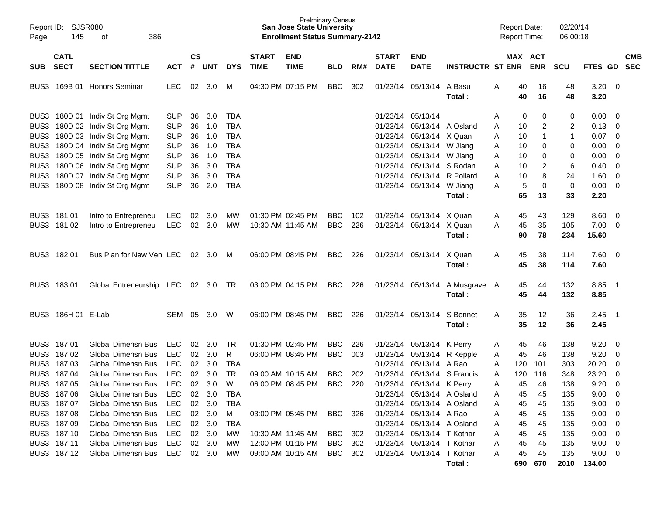| Page:      | Report ID: SJSR080<br>145                 | 386<br>оf                                                        |                          |                |                      |                          |                             | <b>Prelminary Census</b><br><b>San Jose State University</b><br><b>Enrollment Status Summary-2142</b> |                          |            |                             |                                                                                       |                                          | <b>Report Date:</b><br><b>Report Time:</b> |                      | 02/20/14<br>06:00:18 |                                    |                                                    |            |
|------------|-------------------------------------------|------------------------------------------------------------------|--------------------------|----------------|----------------------|--------------------------|-----------------------------|-------------------------------------------------------------------------------------------------------|--------------------------|------------|-----------------------------|---------------------------------------------------------------------------------------|------------------------------------------|--------------------------------------------|----------------------|----------------------|------------------------------------|----------------------------------------------------|------------|
| <b>SUB</b> | <b>CATL</b><br><b>SECT</b>                | <b>SECTION TITTLE</b>                                            | <b>ACT</b>               | <b>CS</b><br># | <b>UNT</b>           | <b>DYS</b>               | <b>START</b><br><b>TIME</b> | <b>END</b><br><b>TIME</b>                                                                             | <b>BLD</b>               | RM#        | <b>START</b><br><b>DATE</b> | <b>END</b><br><b>DATE</b>                                                             | <b>INSTRUCTR ST ENR ENR</b>              |                                            | MAX ACT              | <b>SCU</b>           | FTES GD SEC                        |                                                    | <b>CMB</b> |
|            |                                           | BUS3 169B 01 Honors Seminar                                      | <b>LEC</b>               | 02             | 3.0                  | M                        |                             | 04:30 PM 07:15 PM                                                                                     | <b>BBC</b>               | 302        |                             | 01/23/14 05/13/14 A Basu                                                              | Total:                                   | A                                          | 40<br>16<br>40<br>16 | 48<br>48             | $3.20 \ 0$<br>3.20                 |                                                    |            |
|            |                                           | BUS3 180D 01 Indiv St Org Mgmt<br>BUS3 180D 02 Indiv St Org Mgmt | <b>SUP</b><br><b>SUP</b> | 36<br>36       | 3.0<br>1.0           | TBA<br><b>TBA</b>        |                             |                                                                                                       |                          |            |                             | 01/23/14 05/13/14<br>01/23/14 05/13/14 A Osland                                       |                                          | A<br>Α                                     | 0<br>0<br>10<br>2    | 0<br>$\overline{c}$  | 0.00<br>$0.13 \quad 0$             | $\overline{\mathbf{0}}$                            |            |
|            |                                           | BUS3 180D 03 Indiv St Org Mgmt<br>BUS3 180D 04 Indiv St Org Mgmt | <b>SUP</b><br><b>SUP</b> | 36<br>36       | 1.0<br>1.0           | <b>TBA</b><br><b>TBA</b> |                             |                                                                                                       |                          |            |                             | 01/23/14 05/13/14 X Quan<br>01/23/14 05/13/14 W Jiang                                 |                                          | Α<br>10<br>10<br>Α                         | 0                    | 1<br>0               | $0.07$ 0<br>0.00                   | $\overline{0}$                                     |            |
|            |                                           | BUS3 180D 05 Indiv St Org Mgmt<br>BUS3 180D 06 Indiv St Org Mgmt | <b>SUP</b><br><b>SUP</b> | 36<br>36       | 1.0<br>3.0           | <b>TBA</b><br><b>TBA</b> |                             |                                                                                                       |                          |            |                             | 01/23/14 05/13/14 W Jiang<br>01/23/14 05/13/14 S Rodan                                |                                          | 10<br>Α<br>10<br>A                         | 0<br>2               | 0<br>6               | 0.00<br>0.40                       | $\overline{0}$<br>$\overline{\mathbf{0}}$          |            |
|            |                                           | BUS3 180D 07 Indiv St Org Mgmt<br>BUS3 180D 08 Indiv St Org Mgmt | <b>SUP</b><br><b>SUP</b> | 36<br>36       | 3.0<br>2.0           | <b>TBA</b><br><b>TBA</b> |                             |                                                                                                       |                          |            |                             | 01/23/14 05/13/14 R Pollard<br>01/23/14 05/13/14 W Jiang                              | Total:                                   | 10<br>Α<br>A<br>65                         | 8<br>5<br>0<br>13    | 24<br>0<br>33        | 1.60<br>0.00<br>2.20               | $\overline{0}$<br>$\overline{\mathbf{0}}$          |            |
|            | BUS3 181 01                               | Intro to Entrepreneu                                             | <b>LEC</b>               | 02             | 3.0                  | MW                       |                             | 01:30 PM 02:45 PM                                                                                     | <b>BBC</b>               | 102        |                             | 01/23/14 05/13/14 X Quan                                                              |                                          | A                                          | 45<br>43             | 129                  | 8.60                               | $\overline{\phantom{0}}$                           |            |
|            | BUS3 181 02                               | Intro to Entrepreneu                                             | LEC                      |                | 02 3.0               | MW                       |                             | 10:30 AM 11:45 AM                                                                                     | <b>BBC</b>               | 226        |                             | 01/23/14 05/13/14 X Quan                                                              | Total:                                   | 45<br>A<br>90                              | 35<br>78             | 105<br>234           | $7.00 \t 0$<br>15.60               |                                                    |            |
|            | BUS3 182 01                               | Bus Plan for New Ven LEC                                         |                          |                | 02 3.0               | M                        |                             | 06:00 PM 08:45 PM                                                                                     | <b>BBC</b>               | 226        |                             | 01/23/14 05/13/14 X Quan                                                              | Total:                                   | A                                          | 45<br>38<br>45<br>38 | 114<br>114           | $7.60 \t 0$<br>7.60                |                                                    |            |
|            | BUS3 18301                                | Global Entreneurship LEC 02 3.0 TR                               |                          |                |                      |                          |                             | 03:00 PM 04:15 PM                                                                                     | BBC                      | 226        |                             |                                                                                       | 01/23/14 05/13/14 A Musgrave A<br>Total: |                                            | 45<br>44<br>45<br>44 | 132<br>132           | 8.85 1<br>8.85                     |                                                    |            |
|            | BUS3 186H 01 E-Lab                        |                                                                  | SEM                      | 05             | 3.0                  | W                        |                             | 06:00 PM 08:45 PM                                                                                     | <b>BBC</b>               | 226        |                             | 01/23/14 05/13/14                                                                     | S Bennet<br>Total:                       | A                                          | 35<br>12<br>35<br>12 | 36<br>36             | $2.45$ 1<br>2.45                   |                                                    |            |
|            | BUS3 187 01<br>BUS3 187 02                | <b>Global Dimensn Bus</b><br><b>Global Dimensn Bus</b>           | <b>LEC</b><br><b>LEC</b> | 02<br>02       | 3.0<br>3.0           | TR<br>R                  |                             | 01:30 PM 02:45 PM<br>06:00 PM 08:45 PM                                                                | <b>BBC</b><br><b>BBC</b> | 226<br>003 |                             | 01/23/14 05/13/14 K Perry<br>01/23/14 05/13/14 R Kepple                               |                                          | A<br>45<br>A                               | 45<br>46<br>46       | 138<br>138           | 9.20<br>9.20                       | $\overline{\mathbf{0}}$<br>$\overline{\mathbf{0}}$ |            |
|            | BUS3 187 03<br>BUS3 187 04                | <b>Global Dimensn Bus</b><br><b>Global Dimensn Bus</b>           | LEC<br>LEC               | 02<br>02       | 3.0<br>3.0           | <b>TBA</b><br>TR         |                             | 09:00 AM 10:15 AM                                                                                     | <b>BBC</b>               | 202        |                             | 01/23/14 05/13/14 A Rao<br>01/23/14 05/13/14 S Francis                                |                                          | A<br>120<br>120<br>Α                       | 101<br>116           | 303<br>348           | 20.20<br>23.20                     | 0<br>$\mathbf 0$                                   |            |
|            | BUS3 187 05<br>BUS3 187 06<br>BUS3 187 07 | Global Dimensn Bus<br>Global Dimensn Bus<br>Global Dimensn Bus   | LEC<br>LEC<br>LEC        | 02<br>02       | 3.0<br>02 3.0<br>3.0 | W<br>TBA<br>TBA          |                             | 06:00 PM 08:45 PM                                                                                     | <b>BBC</b>               | 220        |                             | 01/23/14 05/13/14 K Perry<br>01/23/14 05/13/14 A Osland<br>01/23/14 05/13/14 A Osland |                                          | A<br>45<br>Α<br>45<br>Α                    | 45<br>46<br>45<br>45 | 138<br>135<br>135    | 9.20<br>$9.00 \t 0$<br>$9.00 \t 0$ | $\overline{0}$                                     |            |
|            | BUS3 187 08<br>BUS3 187 09                | Global Dimensn Bus<br>Global Dimensn Bus                         | LEC<br>LEC               |                | 02 3.0<br>02 3.0     | M<br>TBA                 |                             | 03:00 PM 05:45 PM                                                                                     | BBC 326                  |            |                             | 01/23/14 05/13/14 A Rao<br>01/23/14 05/13/14 A Osland                                 |                                          | 45<br>Α<br>45<br>Α                         | 45<br>45             | 135<br>135           | $9.00 \t 0$<br>$9.00 \quad 0$      |                                                    |            |
|            | BUS3 187 10<br>BUS3 187 11                | Global Dimensn Bus<br>Global Dimensn Bus                         | LEC<br>LEC               |                | 02 3.0<br>02 3.0     | МW<br>МW                 |                             | 10:30 AM 11:45 AM<br>12:00 PM 01:15 PM                                                                | BBC<br>BBC 302           | 302        |                             | 01/23/14 05/13/14 T Kothari<br>01/23/14 05/13/14 T Kothari                            |                                          | 45<br>Α<br>45<br>Α                         | 45<br>45             | 135<br>135           | $9.00 \t 0$<br>$9.00 \quad 0$      |                                                    |            |
|            | BUS3 187 12                               | Global Dimensn Bus LEC 02 3.0                                    |                          |                |                      | <b>MW</b>                |                             | 09:00 AM 10:15 AM                                                                                     | BBC 302                  |            |                             | 01/23/14 05/13/14 T Kothari                                                           | Total:                                   | 45<br>A                                    | 45<br>690 670        | 135                  | $9.00 \t 0$<br>2010 134.00         |                                                    |            |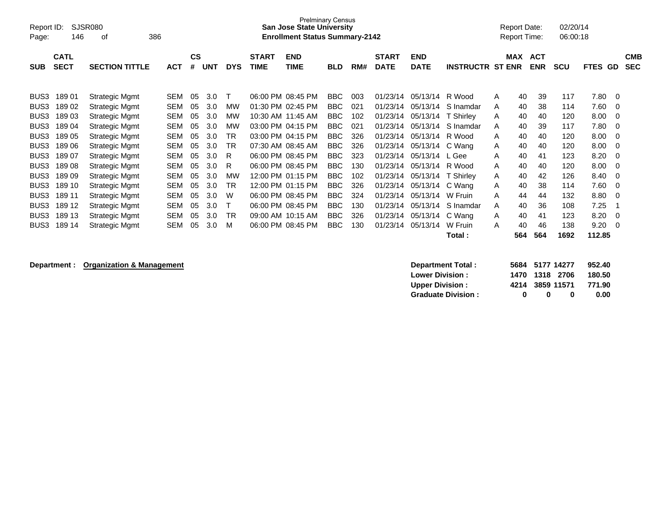| Report ID:<br>Page: | 146                        | SJSR080<br>386<br>οf  |            |                    |            |            |                             | <b>Prelminary Census</b><br><b>San Jose State University</b><br><b>Enrollment Status Summary-2142</b> |            |     |                             |                           |                         |   | <b>Report Date:</b><br><b>Report Time:</b> |                          | 02/20/14<br>06:00:18 |                          |                          |
|---------------------|----------------------------|-----------------------|------------|--------------------|------------|------------|-----------------------------|-------------------------------------------------------------------------------------------------------|------------|-----|-----------------------------|---------------------------|-------------------------|---|--------------------------------------------|--------------------------|----------------------|--------------------------|--------------------------|
| <b>SUB</b>          | <b>CATL</b><br><b>SECT</b> | <b>SECTION TITTLE</b> | <b>ACT</b> | $\mathsf{cs}$<br># | <b>UNT</b> | <b>DYS</b> | <b>START</b><br><b>TIME</b> | <b>END</b><br><b>TIME</b>                                                                             | <b>BLD</b> | RM# | <b>START</b><br><b>DATE</b> | <b>END</b><br><b>DATE</b> | <b>INSTRUCTR ST ENR</b> |   | <b>MAX</b>                                 | <b>ACT</b><br><b>ENR</b> | <b>SCU</b>           | <b>FTES</b><br><b>GD</b> | <b>CMB</b><br><b>SEC</b> |
| BUS <sub>3</sub>    | 18901                      | Strategic Mgmt        | <b>SEM</b> | 05                 | 3.0        | т          |                             | 06:00 PM 08:45 PM                                                                                     | <b>BBC</b> | 003 | 01/23/14                    | 05/13/14                  | R Wood                  | A | 40                                         | 39                       | 117                  | 7.80                     | - 0                      |
| BUS3                | 18902                      | Strategic Mgmt        | <b>SEM</b> | 05                 | 3.0        | MW         |                             | 01:30 PM 02:45 PM                                                                                     | BBC        | 021 | 01/23/14                    | 05/13/14                  | S Inamdar               | A | 40                                         | 38                       | 114                  | 7.60                     | $\mathbf 0$              |
| BUS3                | 18903                      | Strategic Mgmt        | <b>SEM</b> | 05                 | 3.0        | <b>MW</b>  |                             | 10:30 AM 11:45 AM                                                                                     | BBC        | 102 | 01/23/14                    | 05/13/14                  | T Shirlev               | A | 40                                         | 40                       | 120                  | 8.00                     | 0                        |
| BUS3                | 18904                      | Strategic Mgmt        | <b>SEM</b> | 05                 | 3.0        | <b>MW</b>  |                             | 03:00 PM 04:15 PM                                                                                     | <b>BBC</b> | 021 | 01/23/14                    | 05/13/14                  | S Inamdar               | A | 40                                         | 39                       | 117                  | 7.80                     | $\Omega$                 |
| BUS3                | 18905                      | Strategic Mgmt        | <b>SEM</b> | 05                 | 3.0        | TR         |                             | 03:00 PM 04:15 PM                                                                                     | <b>BBC</b> | 326 | 01/23/14                    | 05/13/14                  | R Wood                  | A | 40                                         | 40                       | 120                  | 8.00                     | $\Omega$                 |
| BUS <sub>3</sub>    | 18906                      | Strategic Mgmt        | <b>SEM</b> | 05                 | 3.0        | TR         |                             | 07:30 AM 08:45 AM                                                                                     | BBC        | 326 | 01/23/14                    | 05/13/14                  | C Wang                  | A | 40                                         | 40                       | 120                  | 8.00                     | $\Omega$                 |
| BUS3                | 18907                      | Strategic Mgmt        | <b>SEM</b> | 05                 | 3.0        | R          |                             | 06:00 PM 08:45 PM                                                                                     | <b>BBC</b> | 323 | 01/23/14                    | 05/13/14                  | L Gee                   | A | 40                                         | 41                       | 123                  | 8.20                     | $\Omega$                 |
| BUS3                | 18908                      | Strategic Mgmt        | <b>SEM</b> | 05                 | 3.0        | R          |                             | 06:00 PM 08:45 PM                                                                                     | <b>BBC</b> | 130 | 01/23/14                    | 05/13/14                  | R Wood                  | A | 40                                         | 40                       | 120                  | 8.00                     | 0                        |
| BUS3                | 18909                      | Strategic Mgmt        | <b>SEM</b> | 05                 | 3.0        | MW         |                             | 12:00 PM 01:15 PM                                                                                     | <b>BBC</b> | 102 | 01/23/14                    | 05/13/14                  | T Shirley               | A | 40                                         | 42                       | 126                  | 8.40                     | 0                        |
| BUS3                | 189 10                     | Strategic Mgmt        | <b>SEM</b> | 05                 | 3.0        | <b>TR</b>  |                             | 12:00 PM 01:15 PM                                                                                     | BBC        | 326 | 01/23/14                    | 05/13/14                  | C Wang                  | A | 40                                         | 38                       | 114                  | 7.60                     | $\Omega$                 |
| BUS <sub>3</sub>    | 189 11                     | Strategic Mgmt        | <b>SEM</b> | 05                 | 3.0        | W          |                             | 06:00 PM 08:45 PM                                                                                     | <b>BBC</b> | 324 | 01/23/14                    | 05/13/14                  | W Fruin                 | A | 44                                         | 44                       | 132                  | 8.80                     | 0                        |
| BUS <sub>3</sub>    | 189 12                     | Strategic Mgmt        | <b>SEM</b> | 05                 | 3.0        |            |                             | 06:00 PM 08:45 PM                                                                                     | <b>BBC</b> | 130 | 01/23/14                    | 05/13/14                  | S Inamdar               | A | 40                                         | 36                       | 108                  | 7.25                     |                          |
| BUS3                | 189 13                     | Strategic Mgmt        | <b>SEM</b> | 05                 | 3.0        | TR         |                             | 09:00 AM 10:15 AM                                                                                     | BBC.       | 326 | 01/23/14                    | 05/13/14                  | C Wang                  | A | 40                                         | 41                       | 123                  | 8.20                     | $\Omega$                 |
| BUS3                | 189 14                     | Strategic Mgmt        | <b>SEM</b> | 05                 | 3.0        | м          |                             | 06:00 PM 08:45 PM                                                                                     | <b>BBC</b> | 130 | 01/23/14                    | 05/13/14                  | W Fruin                 | A | 40                                         | 46                       | 138                  | 9.20                     | $\mathbf 0$              |
|                     |                            |                       |            |                    |            |            |                             |                                                                                                       |            |     |                             |                           | Total:                  |   | 564                                        | 564                      | 1692                 | 112.85                   |                          |

## **Department : Organization & Management**

| Department Total:         |   | 5684 5177 14277 |   | 952.40 |
|---------------------------|---|-----------------|---|--------|
| <b>Lower Division:</b>    |   | 1470 1318 2706  |   | 180.50 |
| <b>Upper Division:</b>    |   | 4214 3859 11571 |   | 771.90 |
| <b>Graduate Division:</b> | n | n               | n | 0.00   |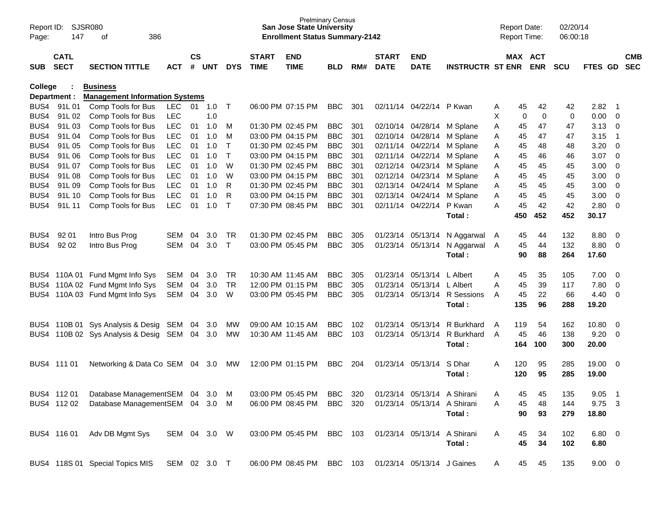| Report ID:<br>Page: | 147                        | <b>SJSR080</b><br>386<br>оf           |              |                    |            |              |                             | <b>Prelminary Census</b><br><b>San Jose State University</b><br><b>Enrollment Status Summary-2142</b> |            |     |                             |                             |                         |   | <b>Report Date:</b><br><b>Report Time:</b> |             | 02/20/14<br>06:00:18 |             |                          |                          |
|---------------------|----------------------------|---------------------------------------|--------------|--------------------|------------|--------------|-----------------------------|-------------------------------------------------------------------------------------------------------|------------|-----|-----------------------------|-----------------------------|-------------------------|---|--------------------------------------------|-------------|----------------------|-------------|--------------------------|--------------------------|
| <b>SUB</b>          | <b>CATL</b><br><b>SECT</b> | <b>SECTION TITTLE</b>                 | <b>ACT</b>   | $\mathsf{cs}$<br># | <b>UNT</b> | <b>DYS</b>   | <b>START</b><br><b>TIME</b> | <b>END</b><br><b>TIME</b>                                                                             | <b>BLD</b> | RM# | <b>START</b><br><b>DATE</b> | <b>END</b><br><b>DATE</b>   | <b>INSTRUCTR ST ENR</b> |   | MAX ACT                                    | <b>ENR</b>  | <b>SCU</b>           | FTES GD     |                          | <b>CMB</b><br><b>SEC</b> |
| College             |                            | <b>Business</b>                       |              |                    |            |              |                             |                                                                                                       |            |     |                             |                             |                         |   |                                            |             |                      |             |                          |                          |
|                     | Department :               | <b>Management Information Systems</b> |              |                    |            |              |                             |                                                                                                       |            |     |                             |                             |                         |   |                                            |             |                      |             |                          |                          |
| BUS4                | 91L01                      | Comp Tools for Bus                    | <b>LEC</b>   | 01                 | 1.0        | $\top$       |                             | 06:00 PM 07:15 PM                                                                                     | <b>BBC</b> | 301 |                             | 02/11/14 04/22/14 P Kwan    |                         | A | 45                                         | 42          | 42                   | 2.82        | - 1                      |                          |
| BUS4                | 91L 02                     | Comp Tools for Bus                    | <b>LEC</b>   |                    | 1.0        |              |                             |                                                                                                       |            |     |                             |                             |                         | X | 0                                          | $\mathbf 0$ | 0                    | 0.00        | 0                        |                          |
| BUS4                | 91L03                      | Comp Tools for Bus                    | <b>LEC</b>   | 01                 | 1.0        | M            |                             | 01:30 PM 02:45 PM                                                                                     | <b>BBC</b> | 301 |                             | 02/10/14 04/28/14           | M Splane                | Α | 45                                         | 47          | 47                   | 3.13        | 0                        |                          |
| BUS4                | 91L 04                     | Comp Tools for Bus                    | <b>LEC</b>   | 01                 | 1.0        | M            |                             | 03:00 PM 04:15 PM                                                                                     | <b>BBC</b> | 301 |                             | 02/10/14 04/28/14           | M Splane                | Α | 45                                         | 47          | 47                   | 3.15        | -1                       |                          |
| BUS4                | 91L 05                     | Comp Tools for Bus                    | <b>LEC</b>   | 01                 | 1.0        | $\top$       |                             | 01:30 PM 02:45 PM                                                                                     | <b>BBC</b> | 301 |                             | 02/11/14 04/22/14           | M Splane                | Α | 45                                         | 48          | 48                   | 3.20        | -0                       |                          |
| BUS4                | 91L 06                     | Comp Tools for Bus                    | <b>LEC</b>   | 01                 | 1.0        | $\top$       |                             | 03:00 PM 04:15 PM                                                                                     | <b>BBC</b> | 301 |                             | 02/11/14 04/22/14           | M Splane                | Α | 45                                         | 46          | 46                   | 3.07        | $\overline{0}$           |                          |
| BUS4                | 91L 07                     | Comp Tools for Bus                    | <b>LEC</b>   | 01                 | 1.0        | W            |                             | 01:30 PM 02:45 PM                                                                                     | <b>BBC</b> | 301 |                             | 02/12/14 04/23/14           | M Splane                | Α | 45                                         | 45          | 45                   | 3.00        | -0                       |                          |
| BUS4                | 91L 08                     | Comp Tools for Bus                    | <b>LEC</b>   | 01                 | 1.0        | W            |                             | 03:00 PM 04:15 PM                                                                                     | <b>BBC</b> | 301 |                             | 02/12/14 04/23/14           | M Splane                | Α | 45                                         | 45          | 45                   | 3.00        | 0                        |                          |
| BUS4                | 91L 09                     | Comp Tools for Bus                    | <b>LEC</b>   | 01                 | 1.0        | $\mathsf{R}$ |                             | 01:30 PM 02:45 PM                                                                                     | <b>BBC</b> | 301 |                             | 02/13/14 04/24/14           | M Splane                | Α | 45                                         | 45          | 45                   | 3.00        | $\mathbf 0$              |                          |
| BUS4                | 91L 10                     | Comp Tools for Bus                    | <b>LEC</b>   | 01                 | 1.0        | $\mathsf{R}$ |                             | 03:00 PM 04:15 PM                                                                                     | <b>BBC</b> | 301 |                             | 02/13/14 04/24/14           | M Splane                | A | 45                                         | 45          | 45                   | 3.00        | $\mathbf 0$              |                          |
| BUS4                | 91L 11                     | Comp Tools for Bus                    | <b>LEC</b>   | 01                 | 1.0        | $\top$       |                             | 07:30 PM 08:45 PM                                                                                     | <b>BBC</b> | 301 |                             | 02/11/14 04/22/14           | P Kwan                  | A | 45                                         | 42          | 42                   | 2.80        | $\mathbf 0$              |                          |
|                     |                            |                                       |              |                    |            |              |                             |                                                                                                       |            |     |                             |                             | Total:                  |   | 450                                        | 452         | 452                  | 30.17       |                          |                          |
| BUS4                | 92 01                      | Intro Bus Prog                        | <b>SEM</b>   | 04                 | 3.0        | TR           |                             | 01:30 PM 02:45 PM                                                                                     | <b>BBC</b> | 305 |                             | 01/23/14 05/13/14           | N Aggarwal              | A | 45                                         | 44          | 132                  | 8.80        | $\overline{\mathbf{0}}$  |                          |
| BUS4                | 92 02                      | Intro Bus Prog                        | <b>SEM</b>   | 04                 | 3.0        | $\top$       |                             | 03:00 PM 05:45 PM                                                                                     | <b>BBC</b> | 305 |                             | 01/23/14 05/13/14           | N Aggarwal              | A | 45                                         | 44          | 132                  | 8.80        | $\overline{0}$           |                          |
|                     |                            |                                       |              |                    |            |              |                             |                                                                                                       |            |     |                             |                             | Total:                  |   | 90                                         | 88          | 264                  | 17.60       |                          |                          |
|                     |                            |                                       |              |                    |            |              |                             |                                                                                                       |            |     |                             |                             |                         |   |                                            |             |                      |             |                          |                          |
|                     |                            | BUS4 110A 01 Fund Mgmt Info Sys       | <b>SEM</b>   | 04                 | 3.0        | <b>TR</b>    |                             | 10:30 AM 11:45 AM                                                                                     | <b>BBC</b> | 305 |                             | 01/23/14 05/13/14           | L Albert                | A | 45                                         | 35          | 105                  | 7.00        | $\overline{0}$           |                          |
| BUS4                |                            | 110A 02 Fund Mgmt Info Sys            | <b>SEM</b>   | 04                 | 3.0        | <b>TR</b>    |                             | 12:00 PM 01:15 PM                                                                                     | <b>BBC</b> | 305 |                             | 01/23/14 05/13/14           | L Albert                | A | 45                                         | 39          | 117                  | 7.80        | $\overline{0}$           |                          |
| BUS4.               |                            | 110A 03 Fund Mgmt Info Sys            | <b>SEM</b>   | 04                 | 3.0        | W            |                             | 03:00 PM 05:45 PM                                                                                     | <b>BBC</b> | 305 |                             | 01/23/14 05/13/14           | R Sessions              | A | 45                                         | 22          | 66                   | 4.40        | - 0                      |                          |
|                     |                            |                                       |              |                    |            |              |                             |                                                                                                       |            |     |                             |                             | Total:                  |   | 135                                        | 96          | 288                  | 19.20       |                          |                          |
|                     |                            |                                       |              |                    |            |              |                             |                                                                                                       |            |     |                             |                             |                         |   |                                            |             |                      |             |                          |                          |
|                     |                            | BUS4 110B 01 Sys Analysis & Desig     | SEM          | 04                 | 3.0        | MW           |                             | 09:00 AM 10:15 AM                                                                                     | <b>BBC</b> | 102 |                             | 01/23/14 05/13/14           | R Burkhard              | A | 119                                        | 54          | 162                  | 10.80       | 0                        |                          |
| BUS4.               |                            | 110B 02 Sys Analysis & Desig          | <b>SEM</b>   |                    | 04 3.0     | MW           |                             | 10:30 AM 11:45 AM                                                                                     | <b>BBC</b> | 103 |                             | 01/23/14 05/13/14           | R Burkhard              | A | 45                                         | 46          | 138                  | 9.20        | $\overline{0}$           |                          |
|                     |                            |                                       |              |                    |            |              |                             |                                                                                                       |            |     |                             |                             | Total:                  |   | 164                                        | 100         | 300                  | 20.00       |                          |                          |
|                     | BUS4 111 01                | Networking & Data Co SEM              |              | 04                 | 3.0        | MW           |                             | 12:00 PM 01:15 PM                                                                                     | <b>BBC</b> | 204 |                             | 01/23/14 05/13/14           | S Dhar                  | Α | 120                                        | 95          | 285                  | 19.00 0     |                          |                          |
|                     |                            |                                       |              |                    |            |              |                             |                                                                                                       |            |     |                             |                             | Total:                  |   | 120                                        | 95          | 285                  | 19.00       |                          |                          |
|                     |                            |                                       |              |                    |            |              |                             |                                                                                                       |            |     |                             |                             |                         |   |                                            |             |                      |             |                          |                          |
|                     | BUS4 112 01                | Database ManagementSEM 04             |              |                    | 3.0        | M            |                             | 03:00 PM 05:45 PM                                                                                     | <b>BBC</b> | 320 |                             | 01/23/14 05/13/14 A Shirani |                         | Α | 45                                         | 45          | 135                  | 9.05        | $\overline{\phantom{1}}$ |                          |
|                     | BUS4 112 02                | Database ManagementSEM 04 3.0         |              |                    |            | M            |                             | 06:00 PM 08:45 PM                                                                                     | <b>BBC</b> | 320 |                             | 01/23/14 05/13/14           | A Shirani               | Α | 45                                         | 48          | 144                  | 9.75 3      |                          |                          |
|                     |                            |                                       |              |                    |            |              |                             |                                                                                                       |            |     |                             |                             | Total:                  |   | 90                                         | 93          | 279                  | 18.80       |                          |                          |
|                     |                            |                                       |              |                    |            |              |                             |                                                                                                       |            |     |                             |                             |                         |   |                                            |             |                      |             |                          |                          |
|                     | BUS4 116 01                | Adv DB Mgmt Sys                       | SEM 04 3.0 W |                    |            |              |                             | 03:00 PM 05:45 PM                                                                                     | BBC 103    |     |                             | 01/23/14 05/13/14           | A Shirani               | A | 45                                         | 34          | 102                  | $6.80$ 0    |                          |                          |
|                     |                            |                                       |              |                    |            |              |                             |                                                                                                       |            |     |                             |                             | Total:                  |   | 45                                         | 34          | 102                  | 6.80        |                          |                          |
|                     |                            |                                       |              |                    |            |              |                             |                                                                                                       |            |     |                             |                             |                         |   |                                            |             |                      |             |                          |                          |
|                     |                            | BUS4 118S 01 Special Topics MIS       | SEM 02 3.0 T |                    |            |              |                             | 06:00 PM 08:45 PM                                                                                     | <b>BBC</b> | 103 |                             | 01/23/14 05/13/14 J Gaines  |                         | A | 45                                         | 45          | 135                  | $9.00 \t 0$ |                          |                          |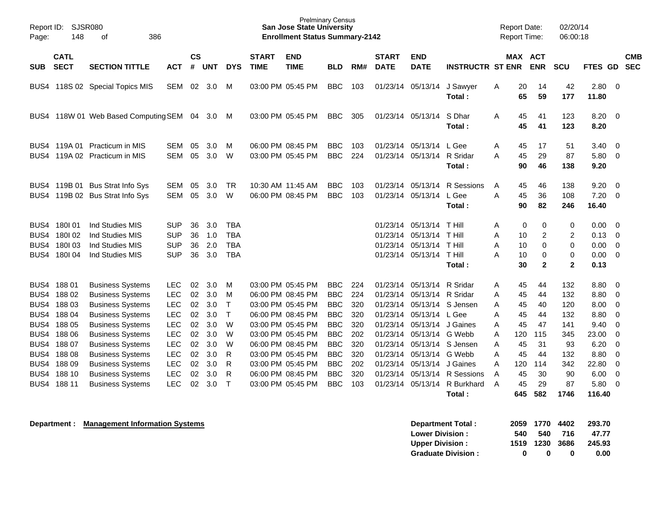| Page:                                                                        | Report ID: SJSR080<br>148                                                                  | 386<br>οf                                                                                                                                                                                                                                                                  |                                                                                                                                          |                                                          |                                                                    |                                                                                      |                             | <b>Prelminary Census</b><br><b>San Jose State University</b><br><b>Enrollment Status Summary-2142</b>                                                                                                          |                                                                                                                                          |                                                                    |                                                                                  |                                                                                                                                                                                          |                                                | <b>Report Date:</b><br>Report Time:                                                                          |                                                                                       | 02/20/14<br>06:00:18                                             |                                                                                |                                                                                                          |
|------------------------------------------------------------------------------|--------------------------------------------------------------------------------------------|----------------------------------------------------------------------------------------------------------------------------------------------------------------------------------------------------------------------------------------------------------------------------|------------------------------------------------------------------------------------------------------------------------------------------|----------------------------------------------------------|--------------------------------------------------------------------|--------------------------------------------------------------------------------------|-----------------------------|----------------------------------------------------------------------------------------------------------------------------------------------------------------------------------------------------------------|------------------------------------------------------------------------------------------------------------------------------------------|--------------------------------------------------------------------|----------------------------------------------------------------------------------|------------------------------------------------------------------------------------------------------------------------------------------------------------------------------------------|------------------------------------------------|--------------------------------------------------------------------------------------------------------------|---------------------------------------------------------------------------------------|------------------------------------------------------------------|--------------------------------------------------------------------------------|----------------------------------------------------------------------------------------------------------|
| <b>SUB</b>                                                                   | <b>CATL</b><br><b>SECT</b>                                                                 | <b>SECTION TITTLE</b>                                                                                                                                                                                                                                                      | <b>ACT</b>                                                                                                                               | <b>CS</b><br>#                                           | <b>UNT</b>                                                         | <b>DYS</b>                                                                           | <b>START</b><br><b>TIME</b> | <b>END</b><br><b>TIME</b>                                                                                                                                                                                      | BLD                                                                                                                                      | RM#                                                                | <b>START</b><br><b>DATE</b>                                                      | <b>END</b><br><b>DATE</b>                                                                                                                                                                | <b>INSTRUCTR ST ENR</b>                        |                                                                                                              | <b>MAX ACT</b><br><b>ENR</b>                                                          | <b>SCU</b>                                                       | <b>FTES GD</b>                                                                 | <b>CMB</b><br><b>SEC</b>                                                                                 |
| BUS4                                                                         |                                                                                            | 118S 02 Special Topics MIS                                                                                                                                                                                                                                                 | <b>SEM</b>                                                                                                                               | 02                                                       | 3.0                                                                | М                                                                                    |                             | 03:00 PM 05:45 PM                                                                                                                                                                                              | <b>BBC</b>                                                                                                                               | 103                                                                |                                                                                  | 01/23/14 05/13/14                                                                                                                                                                        | J Sawyer<br>Total:                             | 20<br>A<br>65                                                                                                | 14<br>59                                                                              | 42<br>177                                                        | 2.80<br>11.80                                                                  | - 0                                                                                                      |
| BUS4                                                                         |                                                                                            | 118W 01 Web Based Computing SEM 04 3.0                                                                                                                                                                                                                                     |                                                                                                                                          |                                                          |                                                                    | M                                                                                    |                             | 03:00 PM 05:45 PM                                                                                                                                                                                              | <b>BBC</b>                                                                                                                               | 305                                                                |                                                                                  | 01/23/14 05/13/14                                                                                                                                                                        | S Dhar<br>Total:                               | A<br>45                                                                                                      | 45<br>41<br>41                                                                        | 123<br>123                                                       | $8.20 \ 0$<br>8.20                                                             |                                                                                                          |
| BUS4<br>BUS4                                                                 |                                                                                            | 119A 01 Practicum in MIS<br>119A 02 Practicum in MIS                                                                                                                                                                                                                       | <b>SEM</b><br><b>SEM</b>                                                                                                                 | 05<br>05                                                 | 3.0<br>3.0                                                         | м<br>W                                                                               |                             | 06:00 PM 08:45 PM<br>03:00 PM 05:45 PM                                                                                                                                                                         | <b>BBC</b><br><b>BBC</b>                                                                                                                 | 103<br>224                                                         |                                                                                  | 01/23/14 05/13/14 L Gee<br>01/23/14 05/13/14 R Sridar                                                                                                                                    | Total:                                         | Α<br>45<br>45<br>A<br>90                                                                                     | 17<br>29<br>46                                                                        | 51<br>87<br>138                                                  | 3.40<br>5.80<br>9.20                                                           | - 0<br>0                                                                                                 |
| BUS4<br>BUS4                                                                 |                                                                                            | 119B 01 Bus Strat Info Sys<br>119B 02 Bus Strat Info Sys                                                                                                                                                                                                                   | <b>SEM</b><br><b>SEM</b>                                                                                                                 | 05<br>05                                                 | 3.0<br>3.0                                                         | <b>TR</b><br>W                                                                       |                             | 10:30 AM 11:45 AM<br>06:00 PM 08:45 PM                                                                                                                                                                         | <b>BBC</b><br><b>BBC</b>                                                                                                                 | 103<br>103                                                         | 01/23/14                                                                         | 05/13/14<br>01/23/14 05/13/14 L Gee                                                                                                                                                      | R Sessions<br>Total:                           | 45<br>A<br>A<br>45<br>90                                                                                     | 46<br>36<br>82                                                                        | 138<br>108<br>246                                                | 9.20<br>7.20<br>16.40                                                          | $\overline{0}$<br>- 0                                                                                    |
| BUS4<br>BUS4<br>BUS4<br>BUS4                                                 | 180101<br>180102<br>180103<br>180104                                                       | Ind Studies MIS<br>Ind Studies MIS<br>Ind Studies MIS<br>Ind Studies MIS                                                                                                                                                                                                   | <b>SUP</b><br><b>SUP</b><br><b>SUP</b><br><b>SUP</b>                                                                                     | 36<br>36<br>36<br>36                                     | 3.0<br>1.0<br>2.0<br>3.0                                           | <b>TBA</b><br><b>TBA</b><br><b>TBA</b><br><b>TBA</b>                                 |                             |                                                                                                                                                                                                                |                                                                                                                                          |                                                                    | 01/23/14<br>01/23/14<br>01/23/14                                                 | 05/13/14<br>05/13/14<br>05/13/14<br>01/23/14 05/13/14                                                                                                                                    | T Hill<br>T Hill<br>T Hill<br>T Hill<br>Total: | Α<br>A<br>A<br>A<br>10                                                                                       | $\pmb{0}$<br>0<br>$\overline{\mathbf{c}}$<br>10<br>10<br>0<br>0<br>30<br>$\mathbf{2}$ | 0<br>$\overline{c}$<br>$\mathbf 0$<br>0<br>$\overline{2}$        | 0.00<br>0.13<br>0.00<br>0.00<br>0.13                                           | $\overline{0}$<br>$\overline{0}$<br>$\overline{0}$<br>$\overline{0}$                                     |
| BUS4<br>BUS4<br>BUS4<br>BUS4<br>BUS4<br>BUS4<br>BUS4<br>BUS4<br>BUS4<br>BUS4 | 18801<br>18802<br>18803<br>188 04<br>18805<br>188 06<br>18807<br>18808<br>188 09<br>188 10 | <b>Business Systems</b><br><b>Business Systems</b><br><b>Business Systems</b><br><b>Business Systems</b><br><b>Business Systems</b><br><b>Business Systems</b><br><b>Business Systems</b><br><b>Business Systems</b><br><b>Business Systems</b><br><b>Business Systems</b> | <b>LEC</b><br><b>LEC</b><br><b>LEC</b><br><b>LEC</b><br><b>LEC</b><br><b>LEC</b><br><b>LEC</b><br><b>LEC</b><br><b>LEC</b><br><b>LEC</b> | 02<br>02<br>02<br>02<br>02<br>02<br>02<br>02<br>02<br>02 | 3.0<br>3.0<br>3.0<br>3.0<br>3.0<br>3.0<br>3.0<br>3.0<br>3.0<br>3.0 | M<br>M<br>$\top$<br>$\mathsf{T}$<br>W<br>W<br>W<br>$\mathsf{R}$<br>R<br>$\mathsf{R}$ |                             | 03:00 PM 05:45 PM<br>06:00 PM 08:45 PM<br>03:00 PM 05:45 PM<br>06:00 PM 08:45 PM<br>03:00 PM 05:45 PM<br>03:00 PM 05:45 PM<br>06:00 PM 08:45 PM<br>03:00 PM 05:45 PM<br>03:00 PM 05:45 PM<br>06:00 PM 08:45 PM | <b>BBC</b><br><b>BBC</b><br><b>BBC</b><br><b>BBC</b><br><b>BBC</b><br><b>BBC</b><br><b>BBC</b><br><b>BBC</b><br><b>BBC</b><br><b>BBC</b> | 224<br>224<br>320<br>320<br>320<br>202<br>320<br>320<br>202<br>320 | 01/23/14<br>01/23/14<br>01/23/14<br>01/23/14<br>01/23/14<br>01/23/14<br>01/23/14 | 01/23/14 05/13/14 R Sridar<br>01/23/14 05/13/14 R Sridar<br>01/23/14 05/13/14 S Jensen<br>05/13/14 L Gee<br>05/13/14 J Gaines<br>05/13/14 G Webb<br>05/13/14 G Webb<br>05/13/14 J Gaines | 05/13/14 S Jensen<br>05/13/14 R Sessions       | A<br>45<br>45<br>A<br>45<br>A<br>45<br>A<br>45<br>A<br>120<br>A<br>45<br>Α<br>A<br>45<br>A<br>120<br>45<br>A | 44<br>44<br>40<br>44<br>47<br>115<br>31<br>44<br>114<br>30                            | 132<br>132<br>120<br>132<br>141<br>345<br>93<br>132<br>342<br>90 | 8.80<br>8.80<br>8.00<br>8.80<br>9.40<br>23.00<br>6.20<br>8.80<br>22.80<br>6.00 | - 0<br>0<br>0<br>0<br>$\mathbf 0$<br>$\overline{0}$<br>$\mathbf 0$<br>$\mathbf 0$<br>0<br>$\overline{0}$ |
| BUS4                                                                         | 188 11                                                                                     | <b>Business Systems</b>                                                                                                                                                                                                                                                    | <b>LEC</b>                                                                                                                               | 02                                                       | 3.0                                                                | T                                                                                    |                             | 03:00 PM 05:45 PM                                                                                                                                                                                              | <b>BBC</b>                                                                                                                               | 103                                                                | 01/23/14                                                                         | 05/13/14                                                                                                                                                                                 | R Burkhard<br>Total:                           | 45<br>A<br>645                                                                                               | 29<br>582                                                                             | 87<br>1746                                                       | 5.80<br>116.40                                                                 | $\overline{0}$                                                                                           |

**Department : Management Information Systems** 

| Department Total:         |     |                | 2059 1770 4402 | 293.70 |
|---------------------------|-----|----------------|----------------|--------|
| <b>Lower Division:</b>    | 540 | 540            | -716           | 47.77  |
| <b>Upper Division:</b>    |     | 1519 1230 3686 |                | 245.93 |
| <b>Graduate Division:</b> | o   | n              | o              | 0.00   |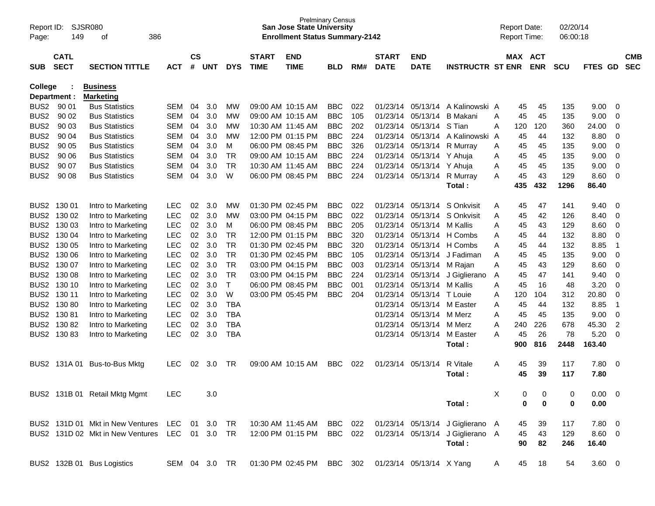| Report ID:<br>Page: | 149                        | SJSR080<br>386<br>οf                        |            |                    |               |              |                             | <b>Prelminary Census</b><br><b>San Jose State University</b><br><b>Enrollment Status Summary-2142</b> |            |     |                             |                           |                                  |   | <b>Report Date:</b><br><b>Report Time:</b> |             | 02/20/14<br>06:00:18 |             |                |                          |
|---------------------|----------------------------|---------------------------------------------|------------|--------------------|---------------|--------------|-----------------------------|-------------------------------------------------------------------------------------------------------|------------|-----|-----------------------------|---------------------------|----------------------------------|---|--------------------------------------------|-------------|----------------------|-------------|----------------|--------------------------|
| <b>SUB</b>          | <b>CATL</b><br><b>SECT</b> | <b>SECTION TITTLE</b>                       | ACT        | $\mathsf{cs}$<br># | <b>UNT</b>    | <b>DYS</b>   | <b>START</b><br><b>TIME</b> | <b>END</b><br><b>TIME</b>                                                                             | <b>BLD</b> | RM# | <b>START</b><br><b>DATE</b> | <b>END</b><br><b>DATE</b> | <b>INSTRUCTR ST ENR</b>          |   | MAX ACT                                    | <b>ENR</b>  | <b>SCU</b>           | FTES GD     |                | <b>CMB</b><br><b>SEC</b> |
| <b>College</b>      |                            | <b>Business</b>                             |            |                    |               |              |                             |                                                                                                       |            |     |                             |                           |                                  |   |                                            |             |                      |             |                |                          |
|                     | Department :               | <b>Marketing</b>                            |            |                    |               |              |                             |                                                                                                       |            |     |                             |                           |                                  |   |                                            |             |                      |             |                |                          |
| BUS <sub>2</sub>    | 90 01                      | <b>Bus Statistics</b>                       | SEM        | 04                 | 3.0           | мw           |                             | 09:00 AM 10:15 AM                                                                                     | <b>BBC</b> | 022 | 01/23/14                    |                           | 05/13/14 A Kalinowski A          |   | 45                                         | 45          | 135                  | 9.00        | - 0            |                          |
| BUS <sub>2</sub>    | 90 02                      | <b>Bus Statistics</b>                       | <b>SEM</b> | 04                 | 3.0           | МW           |                             | 09:00 AM 10:15 AM                                                                                     | <b>BBC</b> | 105 | 01/23/14                    | 05/13/14                  | B Makani                         | A | 45                                         | 45          | 135                  | 9.00        | -0             |                          |
| BUS <sub>2</sub>    | 90 03                      | <b>Bus Statistics</b>                       | <b>SEM</b> | 04                 | 3.0           | МW           |                             | 10:30 AM 11:45 AM                                                                                     | <b>BBC</b> | 202 | 01/23/14                    | 05/13/14                  | S Tian                           | Α | 120                                        | 120         | 360                  | 24.00       | -0             |                          |
| BUS <sub>2</sub>    | 90 04                      | <b>Bus Statistics</b>                       | <b>SEM</b> | 04                 | 3.0           | МW           |                             | 12:00 PM 01:15 PM                                                                                     | <b>BBC</b> | 224 | 01/23/14                    | 05/13/14                  | A Kalinowski A                   |   | 45                                         | 44          | 132                  | 8.80        | -0             |                          |
| BUS <sub>2</sub>    | 90 05                      | <b>Bus Statistics</b>                       | <b>SEM</b> | 04                 | 3.0           | M            |                             | 06:00 PM 08:45 PM                                                                                     | <b>BBC</b> | 326 | 01/23/14                    | 05/13/14                  | R Murray                         | Α | 45                                         | 45          | 135                  | 9.00        | -0             |                          |
| BUS <sub>2</sub>    | 90 06                      | <b>Bus Statistics</b>                       | <b>SEM</b> | 04                 | 3.0           | TR           | 09:00 AM 10:15 AM           |                                                                                                       | <b>BBC</b> | 224 | 01/23/14                    | 05/13/14                  | Y Ahuja                          | Α | 45                                         | 45          | 135                  | 9.00        | $\overline{0}$ |                          |
| BUS <sub>2</sub>    | 90 07                      | <b>Bus Statistics</b>                       | <b>SEM</b> | 04                 | 3.0           | TR           |                             | 10:30 AM 11:45 AM                                                                                     | <b>BBC</b> | 224 | 01/23/14                    | 05/13/14                  | Y Ahuja                          | A | 45                                         | 45          | 135                  | 9.00        | -0             |                          |
| BUS <sub>2</sub>    | 90 08                      | <b>Bus Statistics</b>                       | SEM        | 04                 | 3.0           | W            |                             | 06:00 PM 08:45 PM                                                                                     | <b>BBC</b> | 224 | 01/23/14                    | 05/13/14                  | R Murray                         | A | 45                                         | 43          | 129                  | 8.60        | -0             |                          |
|                     |                            |                                             |            |                    |               |              |                             |                                                                                                       |            |     |                             |                           | Total:                           |   | 435                                        | 432         | 1296                 | 86.40       |                |                          |
|                     |                            |                                             |            |                    |               |              |                             |                                                                                                       |            |     |                             |                           |                                  |   |                                            |             |                      |             |                |                          |
| BUS <sub>2</sub>    | 130 01                     | Intro to Marketing                          | <b>LEC</b> | 02                 | 3.0           | МW           |                             | 01:30 PM 02:45 PM                                                                                     | <b>BBC</b> | 022 | 01/23/14                    | 05/13/14                  | S Onkvisit                       | A | 45                                         | 47          | 141                  | 9.40        | - 0            |                          |
| BUS <sub>2</sub>    | 130 02                     | Intro to Marketing                          | <b>LEC</b> | 02                 | 3.0           | МW           |                             | 03:00 PM 04:15 PM                                                                                     | <b>BBC</b> | 022 | 01/23/14                    | 05/13/14                  | S Onkvisit                       | Α | 45                                         | 42          | 126                  | 8.40        | -0             |                          |
| BUS <sub>2</sub>    | 130 03                     | Intro to Marketing                          | <b>LEC</b> | 02                 | 3.0           | M            |                             | 06:00 PM 08:45 PM                                                                                     | <b>BBC</b> | 205 | 01/23/14                    | 05/13/14                  | M Kallis                         | A | 45                                         | 43          | 129                  | 8.60        | $\overline{0}$ |                          |
| BUS <sub>2</sub>    | 130 04                     | Intro to Marketing                          | <b>LEC</b> | 02                 | 3.0           | TR           |                             | 12:00 PM 01:15 PM                                                                                     | <b>BBC</b> | 320 | 01/23/14                    | 05/13/14                  | H Combs                          | A | 45                                         | 44          | 132                  | 8.80        | 0              |                          |
| BUS <sub>2</sub>    | 130 05                     | Intro to Marketing                          | <b>LEC</b> | 02                 | 3.0           | TR           |                             | 01:30 PM 02:45 PM                                                                                     | <b>BBC</b> | 320 | 01/23/14                    |                           | 05/13/14 H Combs                 | Α | 45                                         | 44          | 132                  | 8.85        | $\overline{1}$ |                          |
| BUS <sub>2</sub>    | 130 06                     | Intro to Marketing                          | <b>LEC</b> | 02                 | 3.0           | TR           |                             | 01:30 PM 02:45 PM                                                                                     | <b>BBC</b> | 105 | 01/23/14                    |                           | 05/13/14 J Fadiman               | A | 45                                         | 45          | 135                  | 9.00        | $\overline{0}$ |                          |
| BUS <sub>2</sub>    | 130 07                     | Intro to Marketing                          | <b>LEC</b> | 02                 | 3.0           | TR           |                             | 03:00 PM 04:15 PM                                                                                     | <b>BBC</b> | 003 | 01/23/14                    | 05/13/14 M Rajan          |                                  | A | 45                                         | 43          | 129                  | 8.60        | -0             |                          |
| BUS <sub>2</sub>    | 130 08                     | Intro to Marketing                          | LEC        | 02                 | 3.0           | TR           |                             | 03:00 PM 04:15 PM                                                                                     | <b>BBC</b> | 224 | 01/23/14                    |                           | 05/13/14 J Giglierano            | A | 45                                         | 47          | 141                  | 9.40        | -0             |                          |
| BUS <sub>2</sub>    | 130 10                     | Intro to Marketing                          | <b>LEC</b> | 02                 | 3.0           | $\mathsf{T}$ |                             | 06:00 PM 08:45 PM                                                                                     | <b>BBC</b> | 001 | 01/23/14                    | 05/13/14                  | M Kallis                         | Α | 45                                         | 16          | 48                   | 3.20        | -0             |                          |
| BUS <sub>2</sub>    | 130 11                     | Intro to Marketing                          | <b>LEC</b> | 02                 | 3.0           | W            |                             | 03:00 PM 05:45 PM                                                                                     | <b>BBC</b> | 204 | 01/23/14                    | 05/13/14                  | T Louie                          | Α | 120                                        | 104         | 312                  | 20.80       | 0              |                          |
| BUS <sub>2</sub>    | 13080                      | Intro to Marketing                          | <b>LEC</b> | 02                 | 3.0           | <b>TBA</b>   |                             |                                                                                                       |            |     | 01/23/14                    | 05/13/14                  | M Easter                         | A | 45                                         | 44          | 132                  | 8.85        | $\overline{1}$ |                          |
|                     | BUS2 130 81                | Intro to Marketing                          | <b>LEC</b> | 02                 | 3.0           | <b>TBA</b>   |                             |                                                                                                       |            |     | 01/23/14                    | 05/13/14                  | M Merz                           | A | 45                                         | 45          | 135                  | 9.00        | -0             |                          |
| BUS <sub>2</sub>    | 13082                      | Intro to Marketing                          | <b>LEC</b> | 02                 | 3.0           | <b>TBA</b>   |                             |                                                                                                       |            |     | 01/23/14                    | 05/13/14                  | M Merz                           | A | 240                                        | 226         | 678                  | 45.30       | $\overline{2}$ |                          |
| BUS2                | 13083                      | Intro to Marketing                          | <b>LEC</b> | 02                 | 3.0           | <b>TBA</b>   |                             |                                                                                                       |            |     | 01/23/14                    | 05/13/14                  | M Easter                         | A | 45                                         | 26          | 78                   | 5.20        | -0             |                          |
|                     |                            |                                             |            |                    |               |              |                             |                                                                                                       |            |     |                             |                           | Total:                           |   | 900                                        | 816         | 2448                 | 163.40      |                |                          |
|                     |                            |                                             |            |                    |               |              |                             |                                                                                                       |            |     |                             |                           |                                  |   |                                            |             |                      |             |                |                          |
| BUS2                | 131A 01                    | Bus-to-Bus Mktg                             | LEC        | 02                 | 3.0           | TR           |                             | 09:00 AM 10:15 AM                                                                                     | BBC.       | 022 | 01/23/14                    | 05/13/14                  | R Vitale                         | A | 45                                         | 39          | 117                  | 7.80        | - 0            |                          |
|                     |                            |                                             |            |                    |               |              |                             |                                                                                                       |            |     |                             |                           | Total:                           |   | 45                                         | 39          | 117                  | 7.80        |                |                          |
|                     |                            |                                             |            |                    |               |              |                             |                                                                                                       |            |     |                             |                           |                                  |   |                                            |             |                      |             |                |                          |
|                     |                            | BUS2 131B 01 Retail Mktg Mgmt               | <b>LEC</b> |                    | 3.0           |              |                             |                                                                                                       |            |     |                             |                           |                                  | X | 0                                          | 0           | 0                    | $0.00 \t 0$ |                |                          |
|                     |                            |                                             |            |                    |               |              |                             |                                                                                                       |            |     |                             |                           | Total:                           |   | 0                                          | $\mathbf 0$ | 0                    | 0.00        |                |                          |
|                     |                            | BUS2 131D 01 Mkt in New Ventures LEC 01 3.0 |            |                    |               | TR           |                             | 10:30 AM 11:45 AM BBC 022                                                                             |            |     |                             |                           | 01/23/14 05/13/14 J Giglierano A |   | 45                                         | 39          | 117                  | 7.80 0      |                |                          |
|                     |                            | BUS2 131D 02 Mkt in New Ventures LEC 01 3.0 |            |                    |               | TR.          |                             | 12:00 PM 01:15 PM                                                                                     | BBC 022    |     |                             |                           | 01/23/14 05/13/14 J Giglierano A |   | 45                                         | 43          | 129                  | 8.60 0      |                |                          |
|                     |                            |                                             |            |                    |               |              |                             |                                                                                                       |            |     |                             |                           | Total:                           |   | 90                                         | 82          | 246                  | 16.40       |                |                          |
|                     |                            |                                             |            |                    |               |              |                             |                                                                                                       |            |     |                             |                           |                                  |   |                                            |             |                      |             |                |                          |
|                     |                            | BUS2 132B 01 Bus Logistics                  |            |                    | SEM 04 3.0 TR |              |                             | 01:30 PM 02:45 PM BBC 302                                                                             |            |     | 01/23/14 05/13/14 X Yang    |                           |                                  | A | 45                                         | 18          | 54                   | $3.60 \ 0$  |                |                          |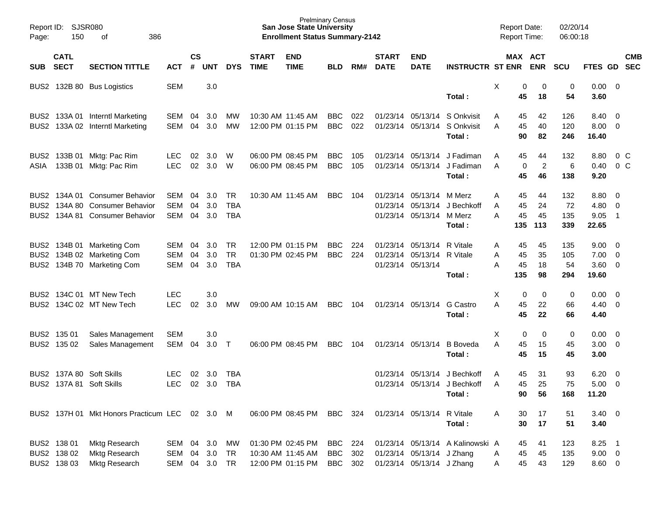| Report ID:<br>Page: | 150                        | SJSR080<br>386<br>οf                           |                |                |            |            |                             | <b>Prelminary Census</b><br><b>San Jose State University</b><br><b>Enrollment Status Summary-2142</b> |            |     |                             |                            |                                  | <b>Report Date:</b><br><b>Report Time:</b> |           |                       | 02/20/14<br>06:00:18 |                |                          |            |
|---------------------|----------------------------|------------------------------------------------|----------------|----------------|------------|------------|-----------------------------|-------------------------------------------------------------------------------------------------------|------------|-----|-----------------------------|----------------------------|----------------------------------|--------------------------------------------|-----------|-----------------------|----------------------|----------------|--------------------------|------------|
| <b>SUB</b>          | <b>CATL</b><br><b>SECT</b> | <b>SECTION TITTLE</b>                          | <b>ACT</b>     | <b>CS</b><br># | <b>UNT</b> | <b>DYS</b> | <b>START</b><br><b>TIME</b> | <b>END</b><br><b>TIME</b>                                                                             | <b>BLD</b> | RM# | <b>START</b><br><b>DATE</b> | <b>END</b><br><b>DATE</b>  | <b>INSTRUCTR ST ENR</b>          |                                            |           | MAX ACT<br><b>ENR</b> | <b>SCU</b>           | FTES GD        | <b>SEC</b>               | <b>CMB</b> |
| BUS2                |                            | 132B 80 Bus Logistics                          | <b>SEM</b>     |                | 3.0        |            |                             |                                                                                                       |            |     |                             |                            |                                  | X                                          | 0         | 0                     | 0                    | $0.00 \t 0$    |                          |            |
|                     |                            |                                                |                |                |            |            |                             |                                                                                                       |            |     |                             |                            | Total :                          |                                            | 45        | 18                    | 54                   | 3.60           |                          |            |
| BUS2                |                            | 133A 01 Interntl Marketing                     | SEM            | 04             | 3.0        | МW         |                             | 10:30 AM 11:45 AM                                                                                     | <b>BBC</b> | 022 |                             | 01/23/14 05/13/14          | S Onkvisit                       | A                                          | 45        | 42                    | 126                  | 8.40           | - 0                      |            |
| BUS <sub>2</sub>    |                            | 133A 02 Interntl Marketing                     | SEM            | 04             | 3.0        | МW         |                             | 12:00 PM 01:15 PM                                                                                     | <b>BBC</b> | 022 |                             | 01/23/14 05/13/14          | S Onkvisit<br>Total :            | A                                          | 45<br>90  | 40<br>82              | 120<br>246           | 8.00<br>16.40  | - 0                      |            |
|                     |                            |                                                |                |                |            |            |                             |                                                                                                       |            |     |                             |                            |                                  |                                            |           |                       |                      |                |                          |            |
| BUS2                | 133B 01                    | Mktg: Pac Rim                                  | <b>LEC</b>     | 02             | 3.0        | W          |                             | 06:00 PM 08:45 PM                                                                                     | <b>BBC</b> | 105 |                             | 01/23/14 05/13/14          | J Fadiman                        | A                                          | 45        | 44                    | 132                  | 8.80           | 0 C                      |            |
| ASIA                |                            | 133B 01 Mktg: Pac Rim                          | <b>LEC</b>     | 02             | 3.0        | W          |                             | 06:00 PM 08:45 PM                                                                                     | <b>BBC</b> | 105 |                             | 01/23/14 05/13/14          | J Fadiman<br>Total :             | A                                          | 0<br>45   | 2<br>46               | 6<br>138             | 0.40<br>9.20   | 0 C                      |            |
| BUS <sub>2</sub>    |                            | 134A 01 Consumer Behavior                      | <b>SEM</b>     | 04             | 3.0        | <b>TR</b>  |                             | 10:30 AM 11:45 AM                                                                                     | <b>BBC</b> | 104 |                             | 01/23/14 05/13/14          | M Merz                           | Α                                          | 45        | 44                    | 132                  | 8.80           | - 0                      |            |
| BUS <sub>2</sub>    |                            | 134A 80 Consumer Behavior                      | <b>SEM</b>     | 04             | 3.0        | <b>TBA</b> |                             |                                                                                                       |            |     |                             | 01/23/14 05/13/14          | J Bechkoff                       | A                                          | 45        | 24                    | 72                   | 4.80           | $\overline{\mathbf{0}}$  |            |
| BUS <sub>2</sub>    |                            | 134A 81 Consumer Behavior                      | <b>SEM</b>     | 04             | 3.0        | <b>TBA</b> |                             |                                                                                                       |            |     |                             | 01/23/14 05/13/14          | M Merz                           | Α                                          | 45        | 45                    | 135                  | 9.05           | $\overline{1}$           |            |
|                     |                            |                                                |                |                |            |            |                             |                                                                                                       |            |     |                             |                            | Total:                           |                                            | 135       | 113                   | 339                  | 22.65          |                          |            |
| BUS2                |                            | 134B 01 Marketing Com                          | SEM            | 04             | 3.0        | <b>TR</b>  |                             | 12:00 PM 01:15 PM                                                                                     | <b>BBC</b> | 224 |                             | 01/23/14 05/13/14          | R Vitale                         | A                                          | 45        | 45                    | 135                  | 9.00           | $\overline{\phantom{0}}$ |            |
| BUS <sub>2</sub>    |                            | 134B 02 Marketing Com                          | SEM            | 04             | 3.0        | <b>TR</b>  |                             | 01:30 PM 02:45 PM                                                                                     | <b>BBC</b> | 224 |                             | 01/23/14 05/13/14          | R Vitale                         | Α                                          | 45        | 35                    | 105                  | 7.00           | $\overline{\mathbf{0}}$  |            |
| BUS <sub>2</sub>    |                            | 134B 70 Marketing Com                          | <b>SEM</b>     | 04             | 3.0        | <b>TBA</b> |                             |                                                                                                       |            |     |                             | 01/23/14 05/13/14          | Total:                           | Α                                          | 45<br>135 | 18<br>98              | 54<br>294            | 3.60<br>19.60  | $\overline{\phantom{0}}$ |            |
|                     |                            |                                                |                |                |            |            |                             |                                                                                                       |            |     |                             |                            |                                  |                                            |           |                       |                      |                |                          |            |
| BUS <sub>2</sub>    |                            | 134C 01 MT New Tech                            | <b>LEC</b>     |                | 3.0        |            |                             |                                                                                                       |            |     |                             |                            |                                  | X                                          | 0         | 0                     | 0                    | 0.00           | $\overline{\mathbf{0}}$  |            |
| BUS <sub>2</sub>    |                            | 134C 02 MT New Tech                            | <b>LEC</b>     | 02             | 3.0        | МW         |                             | 09:00 AM 10:15 AM                                                                                     | <b>BBC</b> | 104 |                             | 01/23/14 05/13/14          | G Castro                         | A                                          | 45        | 22                    | 66                   | 4.40           | - 0                      |            |
|                     |                            |                                                |                |                |            |            |                             |                                                                                                       |            |     |                             |                            | Total :                          |                                            | 45        | 22                    | 66                   | 4.40           |                          |            |
| BUS <sub>2</sub>    | 135 01                     | Sales Management                               | <b>SEM</b>     |                | 3.0        |            |                             |                                                                                                       |            |     |                             |                            |                                  | X                                          | 0         | 0                     | 0                    | 0.00           | $\overline{\phantom{0}}$ |            |
|                     | BUS2 135 02                | Sales Management                               | SEM            | 04             | 3.0        | $\top$     |                             | 06:00 PM 08:45 PM                                                                                     | <b>BBC</b> | 104 |                             | 01/23/14 05/13/14          | <b>B</b> Boveda                  | Α                                          | 45        | 15                    | 45                   | 3.00           | $\overline{\mathbf{0}}$  |            |
|                     |                            |                                                |                |                |            |            |                             |                                                                                                       |            |     |                             |                            | Total :                          |                                            | 45        | 15                    | 45                   | 3.00           |                          |            |
|                     |                            | BUS2 137A 80 Soft Skills                       | <b>LEC</b>     | 02             | 3.0        | <b>TBA</b> |                             |                                                                                                       |            |     |                             | 01/23/14 05/13/14          | J Bechkoff                       | A                                          | 45        | 31                    | 93                   | 6.20           | $\overline{\phantom{0}}$ |            |
|                     |                            | BUS2 137A 81 Soft Skills                       | LEC 02 3.0 TBA |                |            |            |                             |                                                                                                       |            |     |                             |                            | 01/23/14 05/13/14 J Bechkoff     | $\mathsf{A}$                               | 45        | 25                    | 75                   | $5.00 \t 0$    |                          |            |
|                     |                            |                                                |                |                |            |            |                             |                                                                                                       |            |     |                             |                            | Total:                           |                                            | 90        | 56                    | 168                  | 11.20          |                          |            |
|                     |                            | BUS2 137H 01 Mkt Honors Practicum LEC 02 3.0 M |                |                |            |            |                             | 06:00 PM 08:45 PM BBC 324                                                                             |            |     |                             | 01/23/14 05/13/14 R Vitale |                                  | A                                          | 30        | 17                    | 51                   | $3.40 \quad 0$ |                          |            |
|                     |                            |                                                |                |                |            |            |                             |                                                                                                       |            |     |                             |                            | Total:                           |                                            | 30        | 17                    | 51                   | 3.40           |                          |            |
|                     | BUS2 138 01                | Mktg Research                                  | SEM 04 3.0     |                |            | MW         |                             | 01:30 PM 02:45 PM                                                                                     | BBC        | 224 |                             |                            | 01/23/14 05/13/14 A Kalinowski A |                                            | 45        | 41                    | 123                  | $8.25$ 1       |                          |            |
|                     | BUS2 138 02                | Mktg Research                                  | SEM 04 3.0     |                |            | TR         |                             | 10:30 AM 11:45 AM                                                                                     | BBC        | 302 |                             | 01/23/14 05/13/14 J Zhang  |                                  | A                                          | 45        | 45                    | 135                  | $9.00 \t 0$    |                          |            |
|                     | BUS2 138 03                | Mktg Research                                  | SEM 04 3.0 TR  |                |            |            |                             | 12:00 PM 01:15 PM BBC                                                                                 |            | 302 |                             | 01/23/14 05/13/14 J Zhang  |                                  | Α                                          | 45        | 43                    | 129                  | 8.60 0         |                          |            |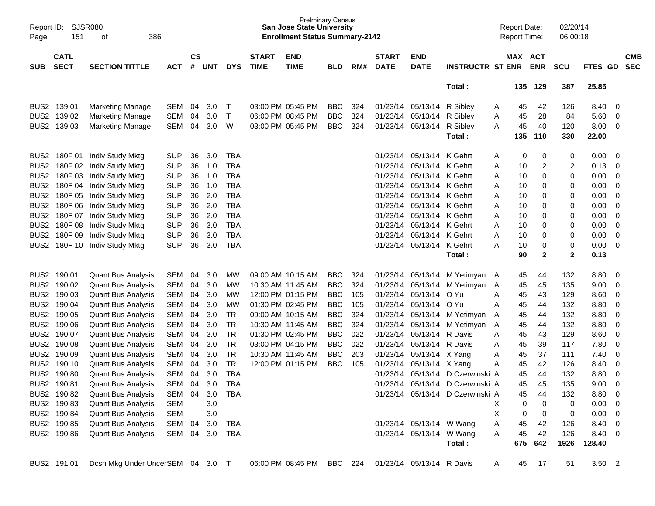| Report ID:<br>Page:                  | <b>SJSR080</b><br>151      | 386<br>οf                                              |                          |                    |            |                          |                             | <b>San Jose State University</b><br><b>Enrollment Status Summary-2142</b> | <b>Prelminary Census</b> |            |                             |                                      |                                  |        | <b>Report Date:</b><br><b>Report Time:</b> |                       | 02/20/14<br>06:00:18 |              |                               |                          |
|--------------------------------------|----------------------------|--------------------------------------------------------|--------------------------|--------------------|------------|--------------------------|-----------------------------|---------------------------------------------------------------------------|--------------------------|------------|-----------------------------|--------------------------------------|----------------------------------|--------|--------------------------------------------|-----------------------|----------------------|--------------|-------------------------------|--------------------------|
| SUB                                  | <b>CATL</b><br><b>SECT</b> | <b>SECTION TITTLE</b>                                  | ACT                      | $\mathsf{cs}$<br># | UNT        | <b>DYS</b>               | <b>START</b><br><b>TIME</b> | <b>END</b><br><b>TIME</b>                                                 | <b>BLD</b>               | RM#        | <b>START</b><br><b>DATE</b> | <b>END</b><br><b>DATE</b>            | <b>INSTRUCTR ST ENR</b>          |        |                                            | MAX ACT<br><b>ENR</b> | <b>SCU</b>           | FTES GD      |                               | <b>CMB</b><br><b>SEC</b> |
|                                      |                            |                                                        |                          |                    |            |                          |                             |                                                                           |                          |            |                             |                                      | Total:                           |        | 135                                        | 129                   | 387                  | 25.85        |                               |                          |
|                                      | BUS2 139 01                | <b>Marketing Manage</b>                                | SEM                      | 04                 | 3.0        | $\top$                   |                             | 03:00 PM 05:45 PM                                                         | <b>BBC</b>               | 324        |                             | 01/23/14 05/13/14 R Sibley           |                                  | A      | 45                                         | 42                    | 126                  | 8.40         | 0                             |                          |
|                                      | BUS2 139 02                | <b>Marketing Manage</b>                                | SEM                      | 04                 | 3.0        | $\top$                   |                             | 06:00 PM 08:45 PM                                                         | <b>BBC</b>               | 324        |                             | 01/23/14 05/13/14                    | R Sibley                         | A      | 45                                         | 28                    | 84                   | 5.60         | 0                             |                          |
|                                      | BUS2 139 03                | <b>Marketing Manage</b>                                | SEM                      | 04                 | 3.0        | W                        |                             | 03:00 PM 05:45 PM                                                         | <b>BBC</b>               | 324        |                             | 01/23/14 05/13/14                    | R Sibley                         | A      | 45                                         | 40                    | 120                  | 8.00         | 0                             |                          |
|                                      |                            |                                                        |                          |                    |            |                          |                             |                                                                           |                          |            |                             |                                      | Total:                           |        | 135                                        | 110                   | 330                  | 22.00        |                               |                          |
|                                      |                            | BUS2 180F 01 Indiv Study Mktg                          | <b>SUP</b>               | 36                 | 3.0        | TBA                      |                             |                                                                           |                          |            |                             | 01/23/14 05/13/14 K Gehrt            |                                  | A      | 0                                          | 0                     | 0                    | 0.00         | 0                             |                          |
| BUS <sub>2</sub>                     |                            | 180F 02 Indiv Study Mktg                               | <b>SUP</b>               | 36                 | 1.0        | <b>TBA</b>               |                             |                                                                           |                          |            | 01/23/14                    | 05/13/14 K Gehrt                     |                                  | A      | 10                                         | $\overline{2}$        | 2                    | 0.13         | 0                             |                          |
| BUS <sub>2</sub>                     |                            | 180F 03 Indiv Study Mktg                               | <b>SUP</b>               | 36                 | 1.0        | <b>TBA</b>               |                             |                                                                           |                          |            | 01/23/14                    | 05/13/14 K Gehrt                     |                                  | A      | 10                                         | 0                     | 0                    | 0.00         | $\overline{0}$                |                          |
| BUS <sub>2</sub>                     |                            | 180F 04 Indiv Study Mktg                               | <b>SUP</b>               | 36                 | 1.0        | <b>TBA</b>               |                             |                                                                           |                          |            | 01/23/14                    | 05/13/14 K Gehrt                     |                                  | A      | 10                                         | 0                     | 0                    | 0.00         | $\mathbf 0$                   |                          |
| BUS <sub>2</sub>                     |                            | 180F 05 Indiv Study Mktg                               | <b>SUP</b>               | 36                 | 2.0        | <b>TBA</b>               |                             |                                                                           |                          |            | 01/23/14                    | 05/13/14 K Gehrt                     |                                  | A      | 10                                         | 0                     | 0                    | 0.00         | $\mathbf 0$                   |                          |
| BUS <sub>2</sub>                     |                            | 180F 06 Indiv Study Mktg                               | <b>SUP</b>               | 36                 | 2.0        | <b>TBA</b>               |                             |                                                                           |                          |            | 01/23/14                    | 05/13/14 K Gehrt                     |                                  | A      | 10                                         | 0                     | 0                    | 0.00         | $\mathbf 0$                   |                          |
| BUS <sub>2</sub>                     |                            | 180F 07 Indiv Study Mktg                               | <b>SUP</b>               | 36                 | 2.0        | <b>TBA</b>               |                             |                                                                           |                          |            | 01/23/14                    | 05/13/14 K Gehrt                     |                                  | A      | 10                                         | 0                     | 0                    | 0.00         | $\mathbf 0$                   |                          |
| BUS <sub>2</sub><br>BUS <sub>2</sub> | 180F08<br>180F 09          | Indiv Study Mktg<br>Indiv Study Mktg                   | <b>SUP</b><br><b>SUP</b> | 36<br>36           | 3.0<br>3.0 | <b>TBA</b><br><b>TBA</b> |                             |                                                                           |                          |            | 01/23/14<br>01/23/14        | 05/13/14 K Gehrt<br>05/13/14 K Gehrt |                                  | A<br>A | 10<br>10                                   | 0<br>0                | 0<br>0               | 0.00<br>0.00 | $\mathbf 0$<br>$\mathbf 0$    |                          |
| BUS <sub>2</sub>                     | 180F 10                    | Indiv Study Mktg                                       | <b>SUP</b>               | 36                 | 3.0        | <b>TBA</b>               |                             |                                                                           |                          |            | 01/23/14                    | 05/13/14 K Gehrt                     |                                  | A      | 10                                         | 0                     | 0                    | 0.00         | $\overline{0}$                |                          |
|                                      |                            |                                                        |                          |                    |            |                          |                             |                                                                           |                          |            |                             |                                      | Total:                           |        | 90                                         | $\mathbf 2$           | $\mathbf 2$          | 0.13         |                               |                          |
|                                      |                            |                                                        |                          |                    |            |                          |                             |                                                                           |                          |            |                             |                                      |                                  |        |                                            |                       |                      |              |                               |                          |
|                                      | BUS2 190 01                | <b>Quant Bus Analysis</b>                              | SEM                      | 04                 | 3.0        | MW                       |                             | 09:00 AM 10:15 AM                                                         | <b>BBC</b>               | 324        |                             |                                      | 01/23/14 05/13/14 M Yetimyan     | A      | 45                                         | 44                    | 132                  | 8.80         | 0                             |                          |
|                                      | BUS2 190 02                | <b>Quant Bus Analysis</b>                              | SEM                      | 04                 | 3.0        | MW                       |                             | 10:30 AM 11:45 AM                                                         | <b>BBC</b>               | 324        | 01/23/14                    | 05/13/14                             | M Yetimyan                       | A      | 45                                         | 45                    | 135                  | 9.00         | 0                             |                          |
|                                      | BUS2 190 03                | <b>Quant Bus Analysis</b>                              | <b>SEM</b>               | 04                 | 3.0        | MW                       |                             | 12:00 PM 01:15 PM                                                         | <b>BBC</b>               | 105        | 01/23/14                    | 05/13/14                             | O Yu                             | A      | 45                                         | 43                    | 129                  | 8.60         | $\overline{0}$                |                          |
|                                      | BUS2 190 04<br>BUS2 190 05 | <b>Quant Bus Analysis</b>                              | <b>SEM</b><br><b>SEM</b> | 04<br>04           | 3.0<br>3.0 | MW<br>TR                 |                             | 01:30 PM 02:45 PM<br>09:00 AM 10:15 AM                                    | <b>BBC</b><br><b>BBC</b> | 105<br>324 | 01/23/14<br>01/23/14        | 05/13/14                             | O Yu<br>05/13/14 M Yetimyan      | A      | 45                                         | 44<br>44              | 132<br>132           | 8.80<br>8.80 | $\overline{0}$<br>$\mathbf 0$ |                          |
|                                      | BUS2 190 06                | <b>Quant Bus Analysis</b><br><b>Quant Bus Analysis</b> | <b>SEM</b>               | 04                 | 3.0        | TR                       |                             | 10:30 AM 11:45 AM                                                         | <b>BBC</b>               | 324        | 01/23/14                    |                                      | 05/13/14 M Yetimyan              | A<br>A | 45<br>45                                   | 44                    | 132                  | 8.80         | $\mathbf 0$                   |                          |
|                                      | BUS2 190 07                | <b>Quant Bus Analysis</b>                              | <b>SEM</b>               | 04                 | 3.0        | TR                       |                             | 01:30 PM 02:45 PM                                                         | <b>BBC</b>               | 022        | 01/23/14                    | 05/13/14 R Davis                     |                                  | A      | 45                                         | 43                    | 129                  | 8.60         | $\overline{0}$                |                          |
|                                      | BUS2 190 08                | <b>Quant Bus Analysis</b>                              | <b>SEM</b>               | 04                 | 3.0        | TR                       |                             | 03:00 PM 04:15 PM                                                         | <b>BBC</b>               | 022        | 01/23/14                    | 05/13/14                             | R Davis                          | A      | 45                                         | 39                    | 117                  | 7.80         | $\mathbf 0$                   |                          |
| BUS <sub>2</sub>                     | 190 09                     | <b>Quant Bus Analysis</b>                              | <b>SEM</b>               | 04                 | 3.0        | TR                       |                             | 10:30 AM 11:45 AM                                                         | <b>BBC</b>               | 203        | 01/23/14                    | 05/13/14 X Yang                      |                                  | Α      | 45                                         | 37                    | 111                  | 7.40         | $\mathbf 0$                   |                          |
|                                      | BUS2 190 10                | <b>Quant Bus Analysis</b>                              | <b>SEM</b>               | 04                 | 3.0        | <b>TR</b>                |                             | 12:00 PM 01:15 PM                                                         | <b>BBC</b>               | 105        | 01/23/14                    | 05/13/14 X Yang                      |                                  | Α      | 45                                         | 42                    | 126                  | 8.40         | $\mathbf 0$                   |                          |
| BUS <sub>2</sub>                     | 19080                      | <b>Quant Bus Analysis</b>                              | <b>SEM</b>               | 04                 | 3.0        | <b>TBA</b>               |                             |                                                                           |                          |            | 01/23/14                    | 05/13/14                             | D Czerwinski A                   |        | 45                                         | 44                    | 132                  | 8.80         | $\mathbf 0$                   |                          |
|                                      | BUS2 190 81                | <b>Quant Bus Analysis</b>                              | SEM                      | 04                 | 3.0        | <b>TBA</b>               |                             |                                                                           |                          |            | 01/23/14                    |                                      | 05/13/14 D Czerwinski A          |        | 45                                         | 45                    | 135                  | 9.00         | $\mathbf 0$                   |                          |
|                                      | BUS2 190 82                | <b>Quant Bus Analysis</b>                              | SEM                      | 04                 | 3.0        | <b>TBA</b>               |                             |                                                                           |                          |            |                             |                                      | 01/23/14 05/13/14 D Czerwinski A |        | 45                                         | 44                    | 132                  | 8.80         | $\overline{\mathbf{0}}$       |                          |
|                                      | BUS2 190 83                | <b>Quant Bus Analysis</b>                              | <b>SEM</b>               |                    | 3.0        |                          |                             |                                                                           |                          |            |                             |                                      |                                  | х      | 0                                          | 0                     | 0                    | $0.00 \t 0$  |                               |                          |
|                                      | BUS2 190 84                | <b>Quant Bus Analysis</b>                              | <b>SEM</b>               |                    | 3.0        |                          |                             |                                                                           |                          |            |                             |                                      |                                  | Χ      | 0                                          | 0                     | 0                    | $0.00 \t 0$  |                               |                          |
|                                      | BUS2 190 85                | <b>Quant Bus Analysis</b>                              | SEM                      | 04                 | 3.0        | TBA                      |                             |                                                                           |                          |            |                             | 01/23/14 05/13/14 W Wang             |                                  | Α      | 45                                         | 42                    | 126                  | 8.40 0       |                               |                          |
|                                      | BUS2 190 86                | <b>Quant Bus Analysis</b>                              | SEM 04 3.0               |                    |            | TBA                      |                             |                                                                           |                          |            |                             | 01/23/14 05/13/14 W Wang             |                                  | Α      | 45                                         | 42                    | 126                  | 8.40 0       |                               |                          |
|                                      |                            |                                                        |                          |                    |            |                          |                             |                                                                           |                          |            |                             |                                      | Total:                           |        | 675                                        | 642                   | 1926                 | 128.40       |                               |                          |
|                                      | BUS2 191 01                | Dcsn Mkg Under UncerSEM 04 3.0 T                       |                          |                    |            |                          |                             | 06:00 PM 08:45 PM BBC 224 01/23/14 05/13/14 R Davis                       |                          |            |                             |                                      |                                  | A      | 45                                         | 17                    | 51                   | $3.50$ 2     |                               |                          |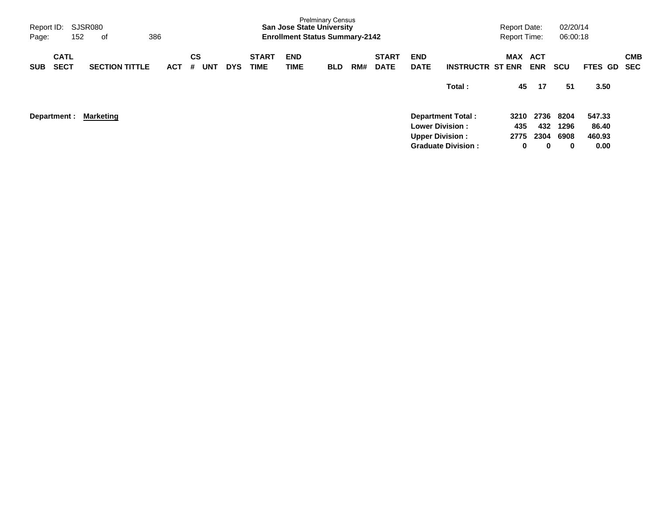| Page:      | SJSR080<br>Report ID:<br>386<br>152<br>оf |  |                       |  |            |                |            |            |                             | <b>San Jose State University</b><br><b>Enrollment Status Summary-2142</b> | <b>Prelminary Census</b> |     |                             |                                                  |                           | <b>Report Date:</b><br><b>Report Time:</b> |                     | 02/20/14<br>06:00:18 |                           |                          |
|------------|-------------------------------------------|--|-----------------------|--|------------|----------------|------------|------------|-----------------------------|---------------------------------------------------------------------------|--------------------------|-----|-----------------------------|--------------------------------------------------|---------------------------|--------------------------------------------|---------------------|----------------------|---------------------------|--------------------------|
| <b>SUB</b> | <b>CATL</b><br><b>SECT</b>                |  | <b>SECTION TITTLE</b> |  | <b>ACT</b> | <b>CS</b><br># | <b>UNT</b> | <b>DYS</b> | <b>START</b><br><b>TIME</b> | <b>END</b><br>TIME                                                        | <b>BLD</b>               | RM# | <b>START</b><br><b>DATE</b> | <b>END</b><br><b>DATE</b>                        | <b>INSTRUCTR ST ENR</b>   | <b>MAX</b>                                 | ACT<br><b>ENR</b>   | <b>SCU</b>           | <b>FTES GD</b>            | <b>CMB</b><br><b>SEC</b> |
|            |                                           |  |                       |  |            |                |            |            |                             |                                                                           |                          |     |                             |                                                  | Total:                    | 45                                         | 17                  | 51                   | 3.50                      |                          |
|            | Department :                              |  | <b>Marketing</b>      |  |            |                |            |            |                             |                                                                           |                          |     |                             | <b>Lower Division:</b><br><b>Upper Division:</b> | <b>Department Total:</b>  | 3210<br>435<br>2775                        | 2736<br>432<br>2304 | 8204<br>1296<br>6908 | 547.33<br>86.40<br>460.93 |                          |
|            |                                           |  |                       |  |            |                |            |            |                             |                                                                           |                          |     |                             |                                                  | <b>Graduate Division:</b> | 0                                          | 0                   | 0                    | 0.00                      |                          |